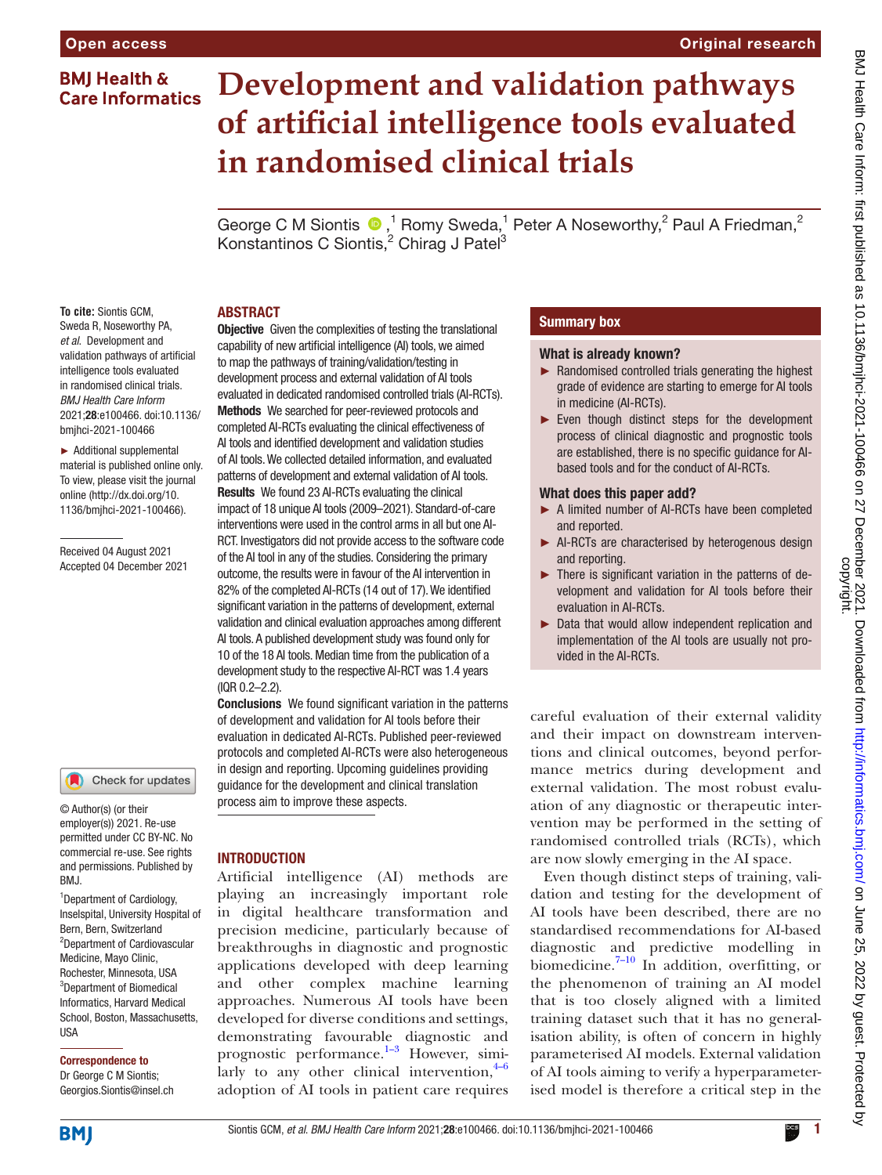### **BMI Health & Care Informatics**

# **Development and validation pathways of artificial intelligence tools evaluated in randomised clinical trials**

GeorgeC M Siontis  $\bullet$ ,<sup>1</sup> Romy Sweda,<sup>1</sup> Peter A Noseworthy,<sup>2</sup> Paul A Friedman,<sup>2</sup> Konstantinos C Siontis,<sup>2</sup> Chirag J Patel<sup>3</sup>

#### ABSTRACT

**To cite:** Siontis GCM, Sweda R, Noseworthy PA, *et al*. Development and validation pathways of artificial intelligence tools evaluated in randomised clinical trials. *BMJ Health Care Inform* 2021;28:e100466. doi:10.1136/ bmjhci-2021-100466

► Additional supplemental material is published online only. To view, please visit the journal online [\(http://dx.doi.org/10.](http://dx.doi.org/10.1136/bmjhci-2021-100466) [1136/bmjhci-2021-100466\)](http://dx.doi.org/10.1136/bmjhci-2021-100466).

Received 04 August 2021 Accepted 04 December 2021



#### © Author(s) (or their employer(s)) 2021. Re-use permitted under CC BY-NC. No commercial re-use. See rights and permissions. Published by RM<sub>J</sub>

<sup>1</sup> Department of Cardiology, Inselspital, University Hospital of Bern, Bern, Switzerland <sup>2</sup>Department of Cardiovascular Medicine, Mayo Clinic, Rochester, Minnesota, USA <sup>3</sup>Department of Biomedical Informatics, Harvard Medical School, Boston, Massachusetts, USA

# Correspondence to

Dr George C M Siontis; Georgios.Siontis@insel.ch

**Objective** Given the complexities of testing the translational capability of new artificial intelligence (AI) tools, we aimed to map the pathways of training/validation/testing in development process and external validation of AI tools evaluated in dedicated randomised controlled trials (AI-RCTs). Methods We searched for peer-reviewed protocols and completed AI-RCTs evaluating the clinical effectiveness of AI tools and identified development and validation studies of AI tools. We collected detailed information, and evaluated patterns of development and external validation of AI tools. Results We found 23 AI-RCTs evaluating the clinical impact of 18 unique AI tools (2009–2021). Standard-of-care interventions were used in the control arms in all but one AI-RCT. Investigators did not provide access to the software code of the AI tool in any of the studies. Considering the primary outcome, the results were in favour of the AI intervention in 82% of the completed AI-RCTs (14 out of 17). We identified significant variation in the patterns of development, external validation and clinical evaluation approaches among different AI tools. A published development study was found only for 10 of the 18 AI tools. Median time from the publication of a development study to the respective AI-RCT was 1.4 years (IQR 0.2–2.2).

Conclusions We found significant variation in the patterns of development and validation for AI tools before their evaluation in dedicated AI-RCTs. Published peer-reviewed protocols and completed AI-RCTs were also heterogeneous in design and reporting. Upcoming guidelines providing guidance for the development and clinical translation process aim to improve these aspects.

## **INTRODUCTION**

Artificial intelligence (AI) methods are playing an increasingly important role in digital healthcare transformation and precision medicine, particularly because of breakthroughs in diagnostic and prognostic applications developed with deep learning and other complex machine learning approaches. Numerous AI tools have been developed for diverse conditions and settings, demonstrating favourable diagnostic and prognostic performance.<sup>1-3</sup> However, similarly to any other clinical intervention, $4-6$ adoption of AI tools in patient care requires

### Summary box

#### What is already known?

- ► Randomised controlled trials generating the highest grade of evidence are starting to emerge for AI tools in medicine (AI-RCTs).
- ► Even though distinct steps for the development process of clinical diagnostic and prognostic tools are established, there is no specific guidance for AIbased tools and for the conduct of AI-RCTs.

#### What does this paper add?

- ► A limited number of AI-RCTs have been completed and reported.
- ► AI-RCTs are characterised by heterogenous design and reporting.
- ► There is significant variation in the patterns of development and validation for AI tools before their evaluation in AI-RCTs.
- ► Data that would allow independent replication and implementation of the AI tools are usually not provided in the AI-RCTs.

careful evaluation of their external validity and their impact on downstream interventions and clinical outcomes, beyond performance metrics during development and external validation. The most robust evaluation of any diagnostic or therapeutic intervention may be performed in the setting of randomised controlled trials (RCTs), which are now slowly emerging in the AI space.

Even though distinct steps of training, validation and testing for the development of AI tools have been described, there are no standardised recommendations for AI-based diagnostic and predictive modelling in biomedicine. $7-10$  In addition, overfitting, or the phenomenon of training an AI model that is too closely aligned with a limited training dataset such that it has no generalisation ability, is often of concern in highly parameterised AI models. External validation of AI tools aiming to verify a hyperparameterised model is therefore a critical step in the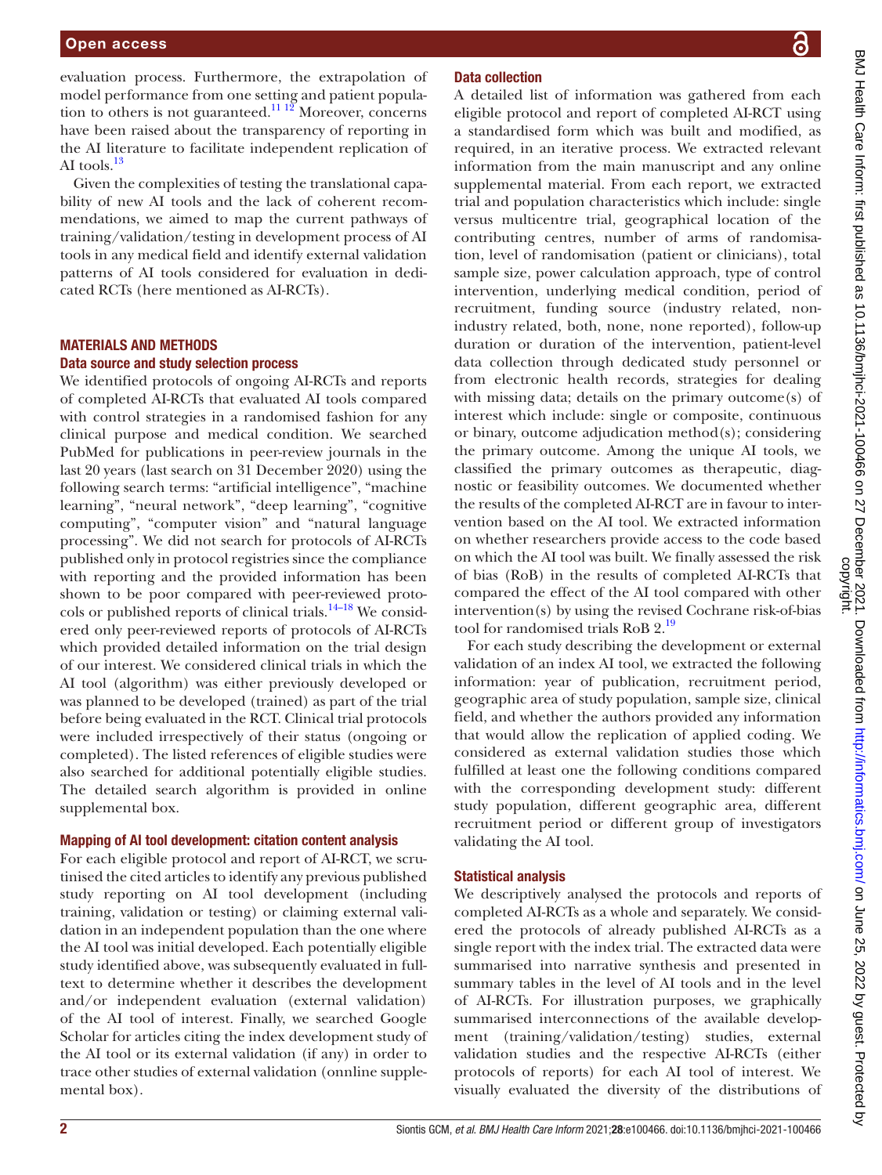evaluation process. Furthermore, the extrapolation of model performance from one setting and patient population to others is not guaranteed.<sup>11 12</sup> Moreover, concerns have been raised about the transparency of reporting in the AI literature to facilitate independent replication of AI tools.<sup>[13](#page-11-4)</sup>

Given the complexities of testing the translational capability of new AI tools and the lack of coherent recommendations, we aimed to map the current pathways of training/validation/testing in development process of AI tools in any medical field and identify external validation patterns of AI tools considered for evaluation in dedicated RCTs (here mentioned as AI-RCTs).

#### MATERIALS AND METHODS Data source and study selection process

We identified protocols of ongoing AI-RCTs and reports of completed AI-RCTs that evaluated AI tools compared with control strategies in a randomised fashion for any clinical purpose and medical condition. We searched PubMed for publications in peer-review journals in the last 20 years (last search on 31 December 2020) using the following search terms: "artificial intelligence", "machine learning", "neural network", "deep learning", "cognitive computing", "computer vision" and "natural language processing". We did not search for protocols of AI-RCTs published only in protocol registries since the compliance with reporting and the provided information has been shown to be poor compared with peer-reviewed protocols or published reports of clinical trials.<sup>14–18</sup> We considered only peer-reviewed reports of protocols of AI-RCTs which provided detailed information on the trial design of our interest. We considered clinical trials in which the AI tool (algorithm) was either previously developed or was planned to be developed (trained) as part of the trial before being evaluated in the RCT. Clinical trial protocols were included irrespectively of their status (ongoing or completed). The listed references of eligible studies were also searched for additional potentially eligible studies. The detailed search algorithm is provided in [online](https://dx.doi.org/10.1136/bmjhci-2021-100466) [supplemental box.](https://dx.doi.org/10.1136/bmjhci-2021-100466)

#### Mapping of AI tool development: citation content analysis

For each eligible protocol and report of AI-RCT, we scrutinised the cited articles to identify any previous published study reporting on AI tool development (including training, validation or testing) or claiming external validation in an independent population than the one where the AI tool was initial developed. Each potentially eligible study identified above, was subsequently evaluated in fulltext to determine whether it describes the development and/or independent evaluation (external validation) of the AI tool of interest. Finally, we searched Google Scholar for articles citing the index development study of the AI tool or its external validation (if any) in order to trace other studies of external validation ([onnline supple](https://dx.doi.org/10.1136/bmjhci-2021-100466)[mental box\)](https://dx.doi.org/10.1136/bmjhci-2021-100466).

#### Data collection

A detailed list of information was gathered from each eligible protocol and report of completed AI-RCT using a standardised form which was built and modified, as required, in an iterative process. We extracted relevant information from the main manuscript and any [online](https://dx.doi.org/10.1136/bmjhci-2021-100466)  [supplemental material](https://dx.doi.org/10.1136/bmjhci-2021-100466). From each report, we extracted trial and population characteristics which include: single versus multicentre trial, geographical location of the contributing centres, number of arms of randomisation, level of randomisation (patient or clinicians), total sample size, power calculation approach, type of control intervention, underlying medical condition, period of recruitment, funding source (industry related, nonindustry related, both, none, none reported), follow-up duration or duration of the intervention, patient-level data collection through dedicated study personnel or from electronic health records, strategies for dealing with missing data; details on the primary outcome(s) of interest which include: single or composite, continuous or binary, outcome adjudication method(s); considering the primary outcome. Among the unique AI tools, we classified the primary outcomes as therapeutic, diagnostic or feasibility outcomes. We documented whether the results of the completed AI-RCT are in favour to intervention based on the AI tool. We extracted information on whether researchers provide access to the code based on which the AI tool was built. We finally assessed the risk of bias (RoB) in the results of completed AI-RCTs that compared the effect of the AI tool compared with other intervention(s) by using the revised Cochrane risk-of-bias tool for randomised trials RoB 2.<sup>[19](#page-11-6)</sup>

For each study describing the development or external validation of an index AI tool, we extracted the following information: year of publication, recruitment period, geographic area of study population, sample size, clinical field, and whether the authors provided any information that would allow the replication of applied coding. We considered as external validation studies those which fulfilled at least one the following conditions compared with the corresponding development study: different study population, different geographic area, different recruitment period or different group of investigators validating the AI tool.

#### Statistical analysis

We descriptively analysed the protocols and reports of completed AI-RCTs as a whole and separately. We considered the protocols of already published AI-RCTs as a single report with the index trial. The extracted data were summarised into narrative synthesis and presented in summary tables in the level of AI tools and in the level of AI-RCTs. For illustration purposes, we graphically summarised interconnections of the available development (training/validation/testing) studies, external validation studies and the respective AI-RCTs (either protocols of reports) for each AI tool of interest. We visually evaluated the diversity of the distributions of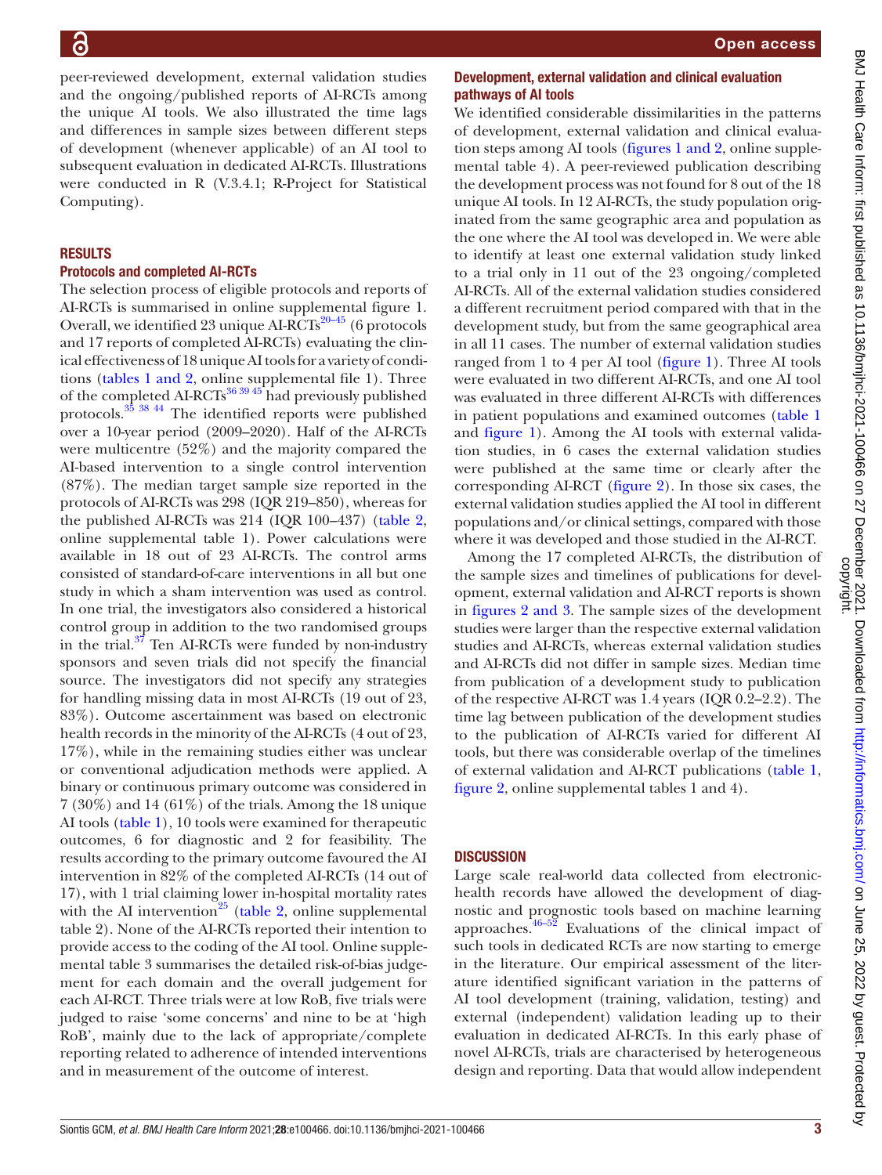peer-reviewed development, external validation studies and the ongoing/published reports of AI-RCTs among the unique AI tools. We also illustrated the time lags and differences in sample sizes between different steps of development (whenever applicable) of an AI tool to subsequent evaluation in dedicated AI-RCTs. Illustrations were conducted in R (V.3.4.1; R-Project for Statistical Computing).

#### RESULTS

#### Protocols and completed AI-RCTs

The selection process of eligible protocols and reports of AI-RCTs is summarised in [online supplemental figure 1.](https://dx.doi.org/10.1136/bmjhci-2021-100466) Overall, we identified 23 unique AI-RCTs<sup>20-45</sup> (6 protocols and 17 reports of completed AI-RCTs) evaluating the clinical effectiveness of 18 unique AI tools for a variety of conditions (tables [1 and 2](#page-3-0), [online supplemental file 1\)](https://dx.doi.org/10.1136/bmjhci-2021-100466). Three of the completed AI-RCTs<sup>[36 39 45](#page-11-8)</sup> had previously published protocols.[35 38 44](#page-11-9) The identified reports were published over a 10-year period (2009–2020). Half of the AI-RCTs were multicentre (52%) and the majority compared the AI-based intervention to a single control intervention (87%). The median target sample size reported in the protocols of AI-RCTs was 298 (IQR 219–850), whereas for the published AI-RCTs was 214 (IQR 100–437) ([table](#page-7-0) 2, [online supplemental table 1\)](https://dx.doi.org/10.1136/bmjhci-2021-100466). Power calculations were available in 18 out of 23 AI-RCTs. The control arms consisted of standard-of-care interventions in all but one study in which a sham intervention was used as control. In one trial, the investigators also considered a historical control group in addition to the two randomised groups in the trial.<sup>37</sup> Ten AI-RCTs were funded by non-industry sponsors and seven trials did not specify the financial source. The investigators did not specify any strategies for handling missing data in most AI-RCTs (19 out of 23, 83%). Outcome ascertainment was based on electronic health records in the minority of the AI-RCTs (4 out of 23, 17%), while in the remaining studies either was unclear or conventional adjudication methods were applied. A binary or continuous primary outcome was considered in 7 (30%) and 14 (61%) of the trials. Among the 18 unique AI tools ([table](#page-3-0) 1), 10 tools were examined for therapeutic outcomes, 6 for diagnostic and 2 for feasibility. The results according to the primary outcome favoured the AI intervention in 82% of the completed AI-RCTs (14 out of 17), with 1 trial claiming lower in-hospital mortality rates with the AI intervention<sup>25</sup> ([table](#page-7-0) 2, [online supplemental](https://dx.doi.org/10.1136/bmjhci-2021-100466) [table 2\)](https://dx.doi.org/10.1136/bmjhci-2021-100466). None of the AI-RCTs reported their intention to provide access to the coding of the AI tool. [Online supple](https://dx.doi.org/10.1136/bmjhci-2021-100466)[mental table 3](https://dx.doi.org/10.1136/bmjhci-2021-100466) summarises the detailed risk-of-bias judgement for each domain and the overall judgement for each AI-RCT. Three trials were at low RoB, five trials were judged to raise 'some concerns' and nine to be at 'high RoB', mainly due to the lack of appropriate/complete reporting related to adherence of intended interventions and in measurement of the outcome of interest.

#### Development, external validation and clinical evaluation pathways of AI tools

We identified considerable dissimilarities in the patterns of development, external validation and clinical evaluation steps among AI tools (figures [1 and 2,](#page-8-0) [online supple](https://dx.doi.org/10.1136/bmjhci-2021-100466)[mental table 4](https://dx.doi.org/10.1136/bmjhci-2021-100466)). A peer-reviewed publication describing the development process was not found for 8 out of the 18 unique AI tools. In 12 AI-RCTs, the study population originated from the same geographic area and population as the one where the AI tool was developed in. We were able to identify at least one external validation study linked to a trial only in 11 out of the 23 ongoing/completed AI-RCTs. All of the external validation studies considered a different recruitment period compared with that in the development study, but from the same geographical area in all 11 cases. The number of external validation studies ranged from 1 to 4 per AI tool ([figure](#page-8-0) 1). Three AI tools were evaluated in two different AI-RCTs, and one AI tool was evaluated in three different AI-RCTs with differences in patient populations and examined outcomes ([table](#page-3-0) 1 and [figure](#page-8-0) 1). Among the AI tools with external validation studies, in 6 cases the external validation studies were published at the same time or clearly after the corresponding AI-RCT [\(figure](#page-9-0) 2). In those six cases, the external validation studies applied the AI tool in different populations and/or clinical settings, compared with those where it was developed and those studied in the AI-RCT.

Among the 17 completed AI-RCTs, the distribution of the sample sizes and timelines of publications for development, external validation and AI-RCT reports is shown in figures [2 and 3](#page-9-0). The sample sizes of the development studies were larger than the respective external validation studies and AI-RCTs, whereas external validation studies and AI-RCTs did not differ in sample sizes. Median time from publication of a development study to publication of the respective AI-RCT was 1.4 years (IQR 0.2–2.2). The time lag between publication of the development studies to the publication of AI-RCTs varied for different AI tools, but there was considerable overlap of the timelines of external validation and AI-RCT publications [\(table](#page-3-0) 1, [figure](#page-9-0) 2, [online supplemental tables 1 and 4](https://dx.doi.org/10.1136/bmjhci-2021-100466)).

#### **DISCUSSION**

Large scale real-world data collected from electronichealth records have allowed the development of diagnostic and prognostic tools based on machine learning approaches. $46-52$  Evaluations of the clinical impact of such tools in dedicated RCTs are now starting to emerge in the literature. Our empirical assessment of the literature identified significant variation in the patterns of AI tool development (training, validation, testing) and external (independent) validation leading up to their evaluation in dedicated AI-RCTs. In this early phase of novel AI-RCTs, trials are characterised by heterogeneous design and reporting. Data that would allow independent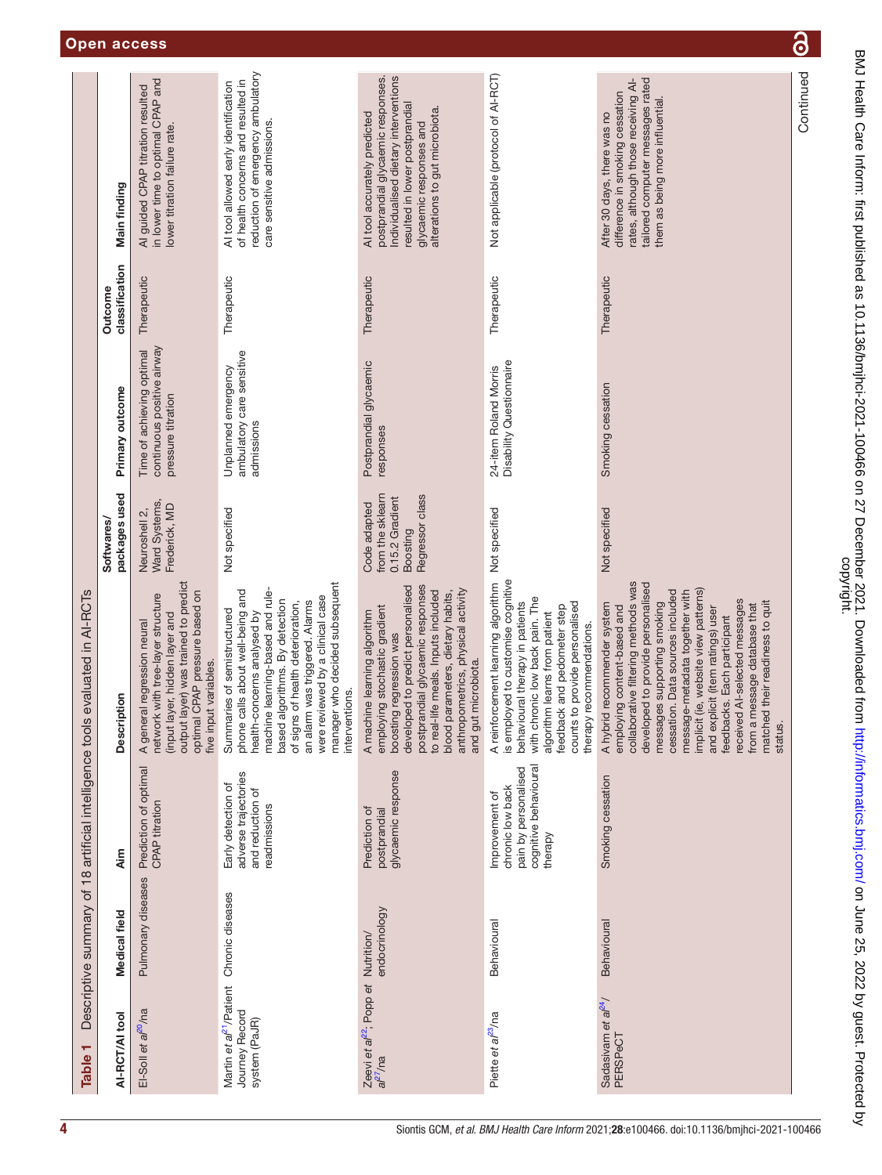<span id="page-3-0"></span>

| Table <sub>1</sub>                                                     |                    | Descriptive summary of 18 artificial intelligence tools                                        | evaluated in AI-RCTs                                                                                                                                                                                                                                                                                                                                                                                                                                                  |                                                                                    |                                                                               |                           |                                                                                                                                                                                                          |
|------------------------------------------------------------------------|--------------------|------------------------------------------------------------------------------------------------|-----------------------------------------------------------------------------------------------------------------------------------------------------------------------------------------------------------------------------------------------------------------------------------------------------------------------------------------------------------------------------------------------------------------------------------------------------------------------|------------------------------------------------------------------------------------|-------------------------------------------------------------------------------|---------------------------|----------------------------------------------------------------------------------------------------------------------------------------------------------------------------------------------------------|
| AI-RCT/AI tool                                                         | Medical field      | ۸im                                                                                            | <b>Description</b>                                                                                                                                                                                                                                                                                                                                                                                                                                                    | packages used<br><b>Softwares/</b>                                                 | Primary outcome                                                               | classification<br>Outcome | Main finding                                                                                                                                                                                             |
| El-Soll et al <sup>20</sup> /na                                        | Pulmonary diseases | Prediction of optimal<br><b>CPAP</b> titration                                                 | output layer) was trained to predict<br>optimal CPAP pressure based on<br>network with tree-layer structure<br>(input layer, hidden layer and<br>A general regression neural<br>five input variables.                                                                                                                                                                                                                                                                 | Ward Systems,<br>Frederick, MD<br>Neuroshell 2,                                    | continuous positive airway<br>Time of achieving optimal<br>pressure titration | Therapeutic               | in lower time to optimal CPAP and<br>Al guided CPAP titration resulted<br>lower titration failure rate.                                                                                                  |
| Martin et al <sup>21</sup> /Patient<br>Journey Record<br>system (PaJR) | Chronic diseases   | adverse trajectories<br>Early detection of<br>and reduction of<br>readmissions                 | manager who decided subsequent<br>machine learning-based and rule-<br>phone calls about well-being and<br>were reviewed by a clinical case<br>algorithms. By detection<br>an alarm was triggered. Alarms<br>of signs of health deterioration,<br>Summaries of semistructured<br>health-concerns analysed by<br>interventions.<br>based                                                                                                                                | Not specified                                                                      | ambulatory care sensitive<br>Unplanned emergency<br>admissions                | Therapeutic               | reduction of emergency ambulatory<br>of health concerns and resulted in<br>Al tool allowed early identification<br>care sensitive admissions.                                                            |
| Zeevi et al <sup>22</sup> ; Popp et Nutrition/<br>$a$ / $^{27}$ /na    | endocrinology      | glycaemic response<br>Prediction of<br>postprandial                                            | postprandial glycaemic responses<br>developed to predict personalised<br>anthropometrics, physical activity<br>to real-life meals. Inputs included<br>blood parameters, dietary habits,<br>employing stochastic gradient<br>A machine learning algorithm<br>boosting regression was<br>and gut microbiota.                                                                                                                                                            | Regressor class<br>from the sklearn<br>0.15.2 Gradient<br>Code adapted<br>Boosting | Postprandial glycaemic<br>responses                                           | Therapeutic               | Individualised dietary interventions<br>postprandial glycaemic responses.<br>resulted in lower postprandial<br>alterations to gut microbiota.<br>Al tool accurately predicted<br>glycaemic responses and |
| Piette et al <sup>23</sup> /na                                         | Behavioural        | cognitive behavioural<br>pain by personalised<br>chronic low back<br>Improvement of<br>therapy | A reinforcement learning algorithm Not specified<br>is employed to customise cognitive<br>with chronic low back pain. The<br>behavioural therapy in patients<br>counts to provide personalised<br>feedback and pedometer step<br>algorithm learns from patient<br>therapy recommendations.                                                                                                                                                                            |                                                                                    | Disability Questionnaire<br>24-item Roland Morris                             | Therapeutic               | Not applicable (protocol of AI-RCT)                                                                                                                                                                      |
| Sadasivam et al <sup>24</sup> /<br>PERSPeCT                            | Behavioural        | Smoking cessation                                                                              | collaborative filtering methods was<br>developed to provide personalised<br>implicit (ie, website view patterns)<br>cessation. Data sources included<br>message-metadata together with<br>received Al-selected messages<br>matched their readiness to quit<br>messages supporting smoking<br>A hybrid recommender system<br>from a message database that<br>employing content-based and<br>and explicit (item ratings) user<br>feedbacks. Each participant<br>status. | Not specified                                                                      | Smoking cessation                                                             | Therapeutic               | tailored computer messages rated<br>rates, although those receiving A<br>difference in smoking cessation<br>them as being more influential.<br>After 30 days, there was no                               |
|                                                                        |                    |                                                                                                |                                                                                                                                                                                                                                                                                                                                                                                                                                                                       |                                                                                    |                                                                               |                           | Continued                                                                                                                                                                                                |

BMJ Health Care Inform: first published as 10.1136/bmjhci-2021-100466 on 27 December 2021. Downloaded from http://informatics.bmj.com/ on June 25, 2022 by guest. Protected by<br>copyright. BMJ Health Care Inform: tirst published as 10.1136/bmjhci-2021-100466 on 27 December 2021. Downloaded from <http://informatics.bmj.com/> on June 25, 2022 by guest. Protected by

 $\overline{\partial}$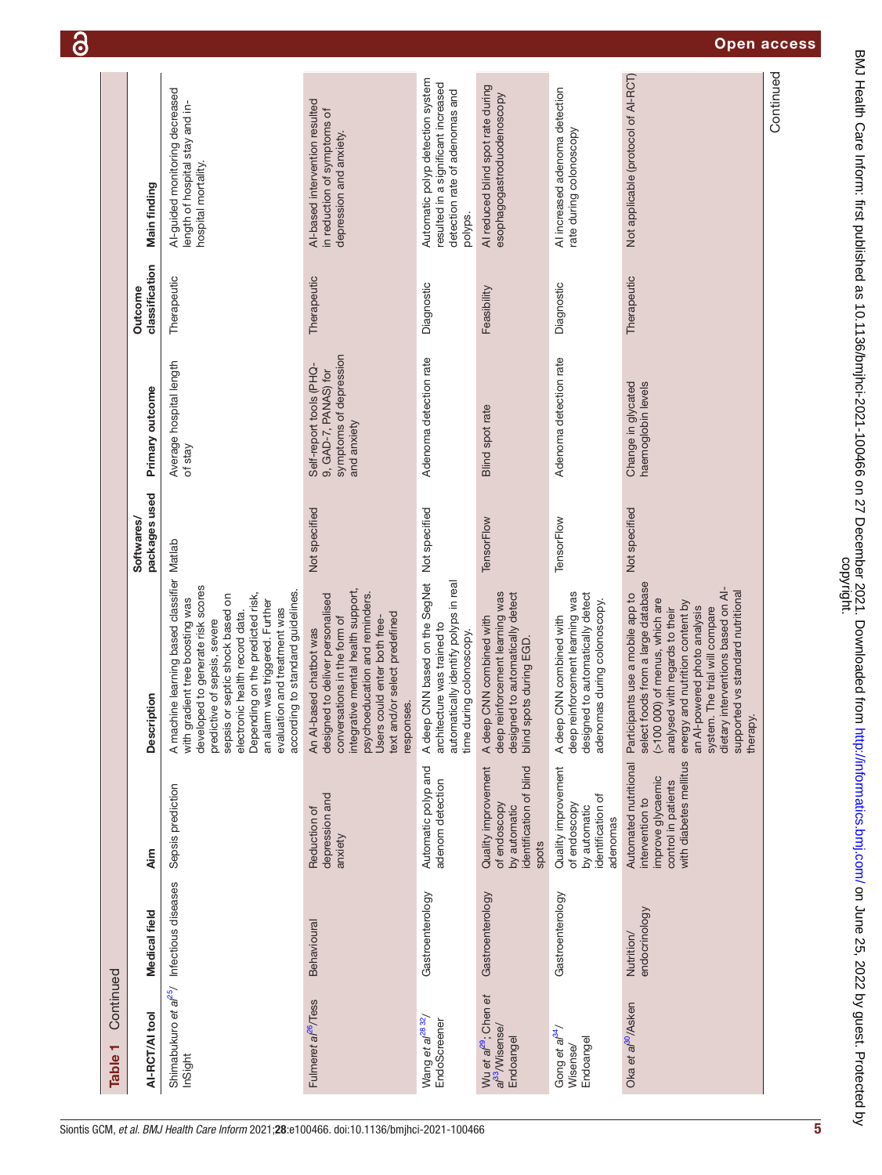|           |                                    |                                                                                                                                                                                                                                                                                                                                          |                                                                                                                                                                                                                                                    |                                                                                                           |                                                                                                          |                                                                                                                                 |                                                                                                                                                                                                                                                                                                                                        | Continued |
|-----------|------------------------------------|------------------------------------------------------------------------------------------------------------------------------------------------------------------------------------------------------------------------------------------------------------------------------------------------------------------------------------------|----------------------------------------------------------------------------------------------------------------------------------------------------------------------------------------------------------------------------------------------------|-----------------------------------------------------------------------------------------------------------|----------------------------------------------------------------------------------------------------------|---------------------------------------------------------------------------------------------------------------------------------|----------------------------------------------------------------------------------------------------------------------------------------------------------------------------------------------------------------------------------------------------------------------------------------------------------------------------------------|-----------|
|           |                                    | Al-guided monitoring decreased<br>length of hospital stay and in-                                                                                                                                                                                                                                                                        | AI-based intervention resulted<br>in reduction of symptoms of                                                                                                                                                                                      | Automatic polyp detection system<br>resulted in a significant increased<br>detection rate of adenomas and | Al reduced blind spot rate during<br>esophagogastroduodenoscopy                                          | Al increased adenoma detection                                                                                                  | Not applicable (protocol of AI-RCT)                                                                                                                                                                                                                                                                                                    |           |
|           | Main finding                       | hospital mortality.                                                                                                                                                                                                                                                                                                                      | depression and anxiety.                                                                                                                                                                                                                            |                                                                                                           |                                                                                                          | rate during colonoscopy                                                                                                         |                                                                                                                                                                                                                                                                                                                                        |           |
|           |                                    |                                                                                                                                                                                                                                                                                                                                          |                                                                                                                                                                                                                                                    | polyps.                                                                                                   |                                                                                                          |                                                                                                                                 |                                                                                                                                                                                                                                                                                                                                        |           |
|           | classification<br>Outcome          | Therapeutic                                                                                                                                                                                                                                                                                                                              | Therapeutic                                                                                                                                                                                                                                        | Diagnostic                                                                                                | Feasibility                                                                                              | Diagnostic                                                                                                                      | Therapeutic                                                                                                                                                                                                                                                                                                                            |           |
|           |                                    |                                                                                                                                                                                                                                                                                                                                          |                                                                                                                                                                                                                                                    |                                                                                                           |                                                                                                          |                                                                                                                                 |                                                                                                                                                                                                                                                                                                                                        |           |
|           | Primary outcome                    | Average hospital length                                                                                                                                                                                                                                                                                                                  | symptoms of depression<br>Self-report tools (PHQ-<br>9, GAD-7, PANAS) for<br>and anxiety                                                                                                                                                           | Adenoma detection rate                                                                                    | Blind spot rate                                                                                          | Adenoma detection rate                                                                                                          | Change in glycated<br>haemoglobin levels                                                                                                                                                                                                                                                                                               |           |
|           |                                    | of stay                                                                                                                                                                                                                                                                                                                                  |                                                                                                                                                                                                                                                    |                                                                                                           |                                                                                                          |                                                                                                                                 |                                                                                                                                                                                                                                                                                                                                        |           |
|           | packages used<br><b>Softwares/</b> |                                                                                                                                                                                                                                                                                                                                          | Not specified                                                                                                                                                                                                                                      | A deep CNN based on the SegNet Not specified                                                              | TensorFlow                                                                                               | TensorFlow                                                                                                                      | Not specified                                                                                                                                                                                                                                                                                                                          |           |
|           |                                    |                                                                                                                                                                                                                                                                                                                                          |                                                                                                                                                                                                                                                    |                                                                                                           |                                                                                                          |                                                                                                                                 |                                                                                                                                                                                                                                                                                                                                        |           |
|           |                                    | gradient tree boosting was                                                                                                                                                                                                                                                                                                               |                                                                                                                                                                                                                                                    |                                                                                                           | spots during EGD.                                                                                        |                                                                                                                                 |                                                                                                                                                                                                                                                                                                                                        |           |
|           | Description                        | A machine learning based classifier Matlab<br>developed to generate risk scores<br>according to standard guidelines.<br>Depending on the predicted risk,<br>sepsis or septic shock based on<br>an alarm was triggered. Further<br>evaluation and treatment was<br>electronic health record data.<br>predictive of sepsis, severe<br>with | integrative mental health support,<br>psychoeducation and reminders.<br>designed to deliver personalised<br>text and/or select predefined<br>conversations in the form of<br>Users could enter both free-<br>An AI-based chatbot was<br>responses. | automatically identify polyps in real<br>architecture was trained to<br>time during colonoscopy.          | deep reinforcement learning was<br>designed to automatically detect<br>A deep CNN combined with<br>blind | deep reinforcement learning was<br>designed to automatically detect<br>adenomas during colonoscopy.<br>A deep CNN combined with | select foods from a large database<br>dietary interventions based on AI-<br>supported vs standard nutritional<br>Participants use a mobile app to<br>(>100 000) of menus, which are<br>energy and nutrition content by<br>an Al-powered photo analysis<br>system. The trial will compare<br>analysed with regards to their<br>therapy. |           |
|           |                                    |                                                                                                                                                                                                                                                                                                                                          |                                                                                                                                                                                                                                                    |                                                                                                           |                                                                                                          |                                                                                                                                 |                                                                                                                                                                                                                                                                                                                                        |           |
| Continued |                                    | Sepsis prediction                                                                                                                                                                                                                                                                                                                        | depression and<br>Reduction of                                                                                                                                                                                                                     | Automatic polyp and<br>adenom detection                                                                   | Quality improvement<br>identification of blind<br>of endoscopy<br>by automatic                           | Quality improvement<br>identification of<br>of endoscopy<br>by automatic<br>adenomas                                            | with diabetes mellitus<br>Automated nutritional<br>improve glycaemic<br>control in patients<br>intervention to                                                                                                                                                                                                                         |           |
|           | <b>Aim</b>                         |                                                                                                                                                                                                                                                                                                                                          | anxiety                                                                                                                                                                                                                                            |                                                                                                           | spots                                                                                                    |                                                                                                                                 |                                                                                                                                                                                                                                                                                                                                        |           |
|           |                                    |                                                                                                                                                                                                                                                                                                                                          |                                                                                                                                                                                                                                                    | Gastroenterology                                                                                          | Gastroenterology                                                                                         | Gastroenterology                                                                                                                |                                                                                                                                                                                                                                                                                                                                        |           |
|           | Medical field                      |                                                                                                                                                                                                                                                                                                                                          | Behavioural                                                                                                                                                                                                                                        |                                                                                                           |                                                                                                          |                                                                                                                                 | endocrinology<br>Nutrition/                                                                                                                                                                                                                                                                                                            |           |
|           |                                    |                                                                                                                                                                                                                                                                                                                                          |                                                                                                                                                                                                                                                    |                                                                                                           |                                                                                                          |                                                                                                                                 |                                                                                                                                                                                                                                                                                                                                        |           |
| Table 1   | AI-RCT/AI tool                     | Shimabukuro et al <sup>25</sup> / Infectious diseases<br>InSight                                                                                                                                                                                                                                                                         | Fulmeret al <sup>26</sup> /Tess                                                                                                                                                                                                                    | Wang et al <sup>2832</sup> /<br>EndoScreener                                                              | Wu et al <sup>29</sup> ; Chen et<br>a/ <sup>33</sup> /Wisense/<br>Endoangel                              | Gong et al <sup>34</sup> /<br>Endoangel<br>Wisense/                                                                             | Oka et al <sup>30</sup> /Asken                                                                                                                                                                                                                                                                                                         |           |
|           |                                    |                                                                                                                                                                                                                                                                                                                                          |                                                                                                                                                                                                                                                    |                                                                                                           |                                                                                                          |                                                                                                                                 |                                                                                                                                                                                                                                                                                                                                        |           |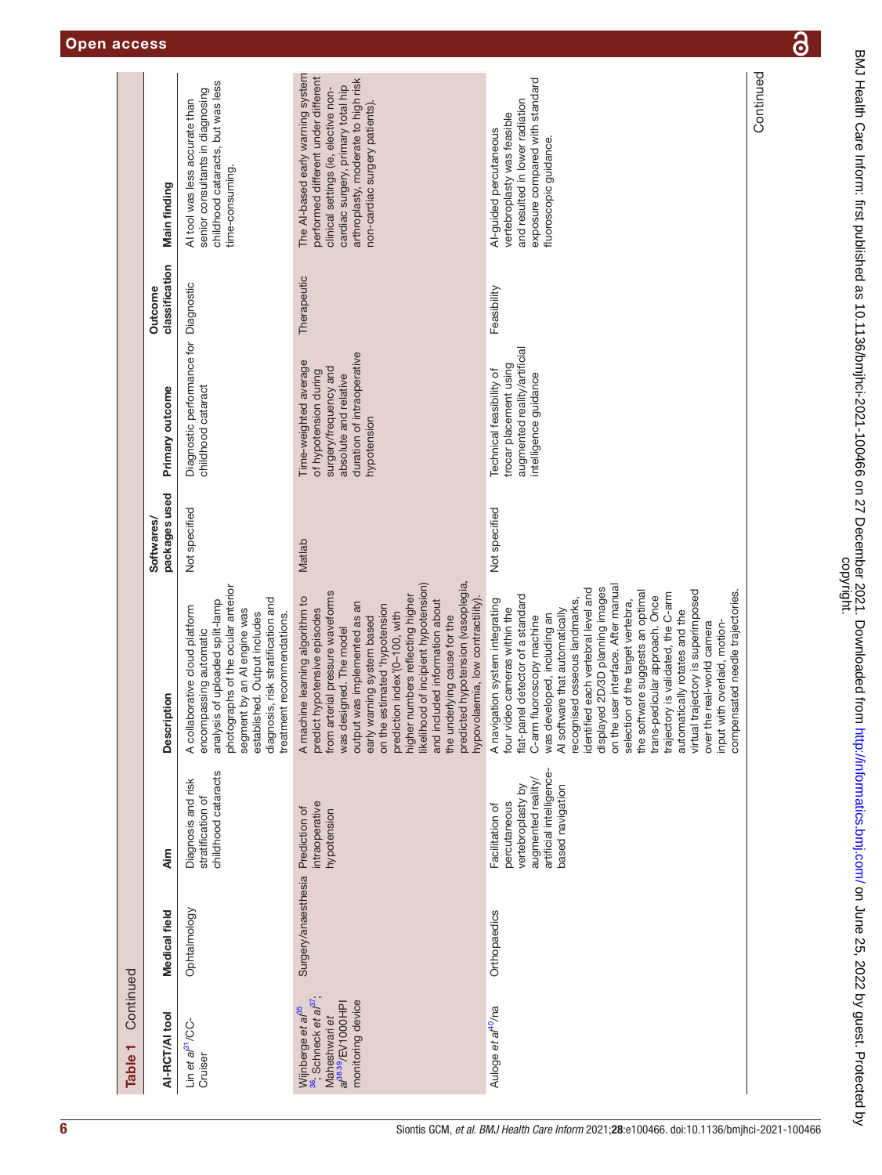| Continued<br>Table <sub>1</sub>                                                                                                                         |                     |                                                                                                                            |                                                                                                                                                                                                                                                                                                                                                                                                                                                                                                                                                                                                                                                                                    |                             |                                                                                                                                               |                           |                                                                                                                                                                                                                                 |
|---------------------------------------------------------------------------------------------------------------------------------------------------------|---------------------|----------------------------------------------------------------------------------------------------------------------------|------------------------------------------------------------------------------------------------------------------------------------------------------------------------------------------------------------------------------------------------------------------------------------------------------------------------------------------------------------------------------------------------------------------------------------------------------------------------------------------------------------------------------------------------------------------------------------------------------------------------------------------------------------------------------------|-----------------------------|-----------------------------------------------------------------------------------------------------------------------------------------------|---------------------------|---------------------------------------------------------------------------------------------------------------------------------------------------------------------------------------------------------------------------------|
| AI-RCT/AI tool                                                                                                                                          | Medical field       | Aim                                                                                                                        | Description                                                                                                                                                                                                                                                                                                                                                                                                                                                                                                                                                                                                                                                                        | packages used<br>Softwares/ | Primary outcome                                                                                                                               | classification<br>Outcome | Main finding                                                                                                                                                                                                                    |
| Lin et al <sup>31</sup> /CC-<br>Cruiser                                                                                                                 | Ophtalmology        | childhood cataracts<br>Diagnosis and risk<br>stratification of                                                             | photographs of the ocular anterior<br>diagnosis, risk stratification and<br>analysis of uploaded split-lamp<br>A collaborative cloud platform<br>segment by an AI engine was<br>established. Output includes<br>treatment recommendations.<br>encompassing automatic                                                                                                                                                                                                                                                                                                                                                                                                               | Not specified               | Diagnostic performance for Diagnostic<br>childhood cataract                                                                                   |                           | childhood cataracts, but was less<br>senior consultants in diagnosing<br>Al tool was less accurate than<br>time-consuming.                                                                                                      |
| <sup>36</sup> , Schneck et al <sup>37</sup> ,<br>monitoring device<br>a/ <sup>38 39</sup> /EV1000 HPI<br>Wijnberge et a <sup>/35</sup><br>Maheshwari et | Surgery/anaesthesia | intraoperative<br>Prediction of<br>hypotension                                                                             | predicted hypotension (vasoplegia,<br>likelihood of incipient hypotension)<br>from arterial pressure waveforms<br>higher numbers reflecting higher<br>A machine learning algorithm to<br>and included information about<br>hypovolaemia, low contractility)<br>output was implemented as an<br>estimated 'hypotension<br>predict hypotensive episodes<br>prediction index'(0-100, with<br>the underlying cause for the<br>early warning system based<br>was designed. The model<br>on the                                                                                                                                                                                          | Matlab                      | duration of intraoperative<br>Time-weighted average<br>surgery/frequency and<br>of hypotension during<br>absolute and relative<br>hypotension | Therapeutic               | The Al-based early warning system<br>performed different under different<br>arthroplasty, moderate to high risk<br>cardiac surgery, primary total hip<br>clinical settings (ie, elective non-<br>non-cardiac surgery patients). |
| Auloge et al <sup>40</sup> /na                                                                                                                          | Orthopaedics        | artificial intelligence-<br>augmented reality/<br>based navigation<br>vertebroplasty by<br>percutaneous<br>Facilitation of | on the user interface. After manual<br>displayed 2D/3D planning images<br>identified each vertebral level and<br>virtual trajectory is superimposed<br>the software suggests an optimal<br>compensated needle trajectories.<br>trajectory is validated, the C-arm<br>flat-panel detector of a standard<br>trans-pedicular approach. Once<br>recognised osseous landmarks,<br>A navigation system integrating<br>selection of the target vertebra,<br>four video cameras within the<br>AI software that automatically<br>automatically rotates and the<br>was developed, including an<br>fluoroscopy machine<br>over the real-world camera<br>input with overlaid, motion-<br>C-arm | Not specified               | augmented reality/artificial<br>trocar placement using<br>Technical feasibility of<br>intelligence guidance                                   | Feasibility               | exposure compared with standard<br>and resulted in lower radiation<br>vertebroplasty was feasible<br>Al-guided percutaneous<br>fluoroscopic guidance.                                                                           |
|                                                                                                                                                         |                     |                                                                                                                            |                                                                                                                                                                                                                                                                                                                                                                                                                                                                                                                                                                                                                                                                                    |                             |                                                                                                                                               |                           | Continued                                                                                                                                                                                                                       |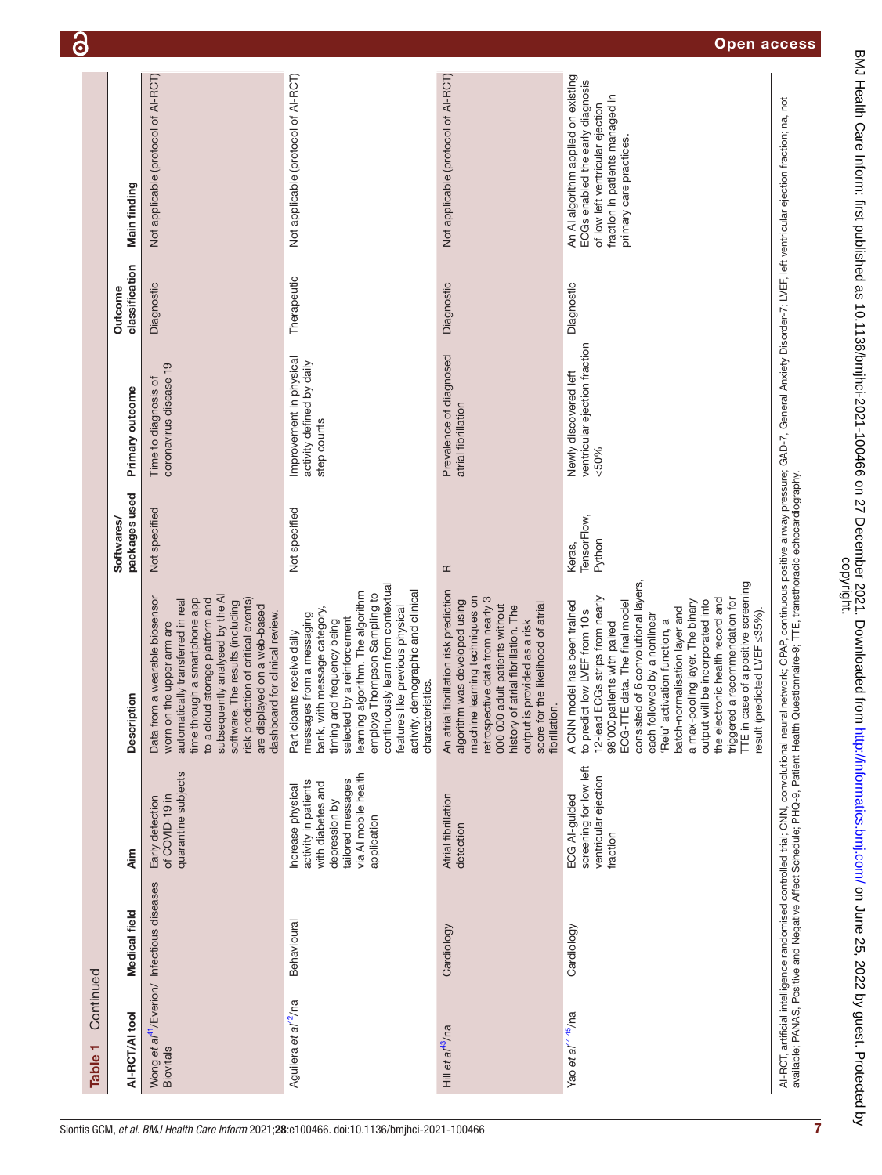| Continued<br>Table <sub>1</sub>                                            |               |                                                                                                                                             |                                                                                                                                                                                                                                                                                                                                                                                                                                                                                                                                   |                                    |                                                                     |                                  |                                                                                                                                                                           |
|----------------------------------------------------------------------------|---------------|---------------------------------------------------------------------------------------------------------------------------------------------|-----------------------------------------------------------------------------------------------------------------------------------------------------------------------------------------------------------------------------------------------------------------------------------------------------------------------------------------------------------------------------------------------------------------------------------------------------------------------------------------------------------------------------------|------------------------------------|---------------------------------------------------------------------|----------------------------------|---------------------------------------------------------------------------------------------------------------------------------------------------------------------------|
| AI-RCT/AI tool                                                             | Medical field | <b>Aim</b>                                                                                                                                  | Description                                                                                                                                                                                                                                                                                                                                                                                                                                                                                                                       | packages used<br><b>Softwares/</b> | Primary outcome                                                     | classification<br><b>Outcome</b> | Main finding                                                                                                                                                              |
| Wong et al <sup>41</sup> /Everion/ Infectious diseases<br><b>Biovitals</b> |               | quarantine subjects<br>of COVID-19 in<br>Early detection                                                                                    | subsequently analysed by the Al<br>Data from a wearable biosensor<br>time through a smartphone app<br>to a cloud storage platform and<br>automatically transferred in real<br>risk prediction of critical events)<br>software. The results (including<br>are displayed on a web-based<br>dashboard for clinical review.<br>worn on the upper arm are                                                                                                                                                                              | Not specified                      | coronavirus disease 19<br>Time to diagnosis of                      | Diagnostic                       | Not applicable (protocol of AI-RCT)                                                                                                                                       |
| Aguilera et al <sup>42</sup> /na                                           | Behavioural   | via AI mobile health<br>tailored messages<br>activity in patients<br>with diabetes and<br>Increase physical<br>depression by<br>application | continuously learn from contextual<br>activity, demographic and clinical<br>learning algorithm. The algorithm<br>employs Thompson Sampling to<br>features like previous physical<br>bank, with message category,<br>messages from a messaging<br>selected by a reinforcement<br>and frequency being<br>Participants receive daily<br>characteristics.<br>timing                                                                                                                                                                   | Not specified                      | Improvement in physical<br>activity defined by daily<br>step counts | Therapeutic                      | Not applicable (protocol of AI-RCT)                                                                                                                                       |
| Hill et al <sup>43</sup> /na                                               | Cardiology    | Atrial fibrillation<br>detection                                                                                                            | An atrial fibrillation risk prediction<br>machine learning techniques on<br>retrospective data from nearly 3<br>algorithm was developed using<br>score for the likelihood of atrial<br>000 000 adult patients without<br>history of atrial fibrillation. The<br>output is provided as a risk<br>fibrillation.                                                                                                                                                                                                                     | $\simeq$                           | Prevalence of diagnosed<br>atrial fibrillation                      | Diagnostic                       | Not applicable (protocol of AI-RCT)                                                                                                                                       |
| Yao et al <sup>4445</sup> /na                                              | Cardiology    | screening for low left<br>ventricular ejection<br>ECG AI-guided<br>fraction                                                                 | consisted of 6 convolutional layers,<br>TTE in case of a positive screening<br>12-lead ECGs strips from nearly<br>the electronic health record and<br>triggered a recommendation for<br>output will be incorporated into<br>A CNN model has been trained<br>ECG-TTE data. The final model<br>a max-pooling layer. The binary<br>batch-normalisation layer and<br>to predict low LVEF from 10s<br>(predicted LVEF ≤35%).<br>each followed by a nonlinear<br>'Relu' activation function, a<br>98'000 patients with paired<br>result | TensorFlow,<br>Python<br>Keras,    | ventricular ejection fraction<br>Newly discovered left<br>$&00\%$   | Diagnostic                       | An AI algorithm applied on existing<br>ECGs enabled the early diagnosis<br>fraction in patients managed in<br>of low left ventricular ejection<br>primary care practices. |
|                                                                            |               |                                                                                                                                             | Al-RCT, artificial intelligence randomised controlled trial; CNN, convolutional neural network; CPAP, continuous positive airway pressure; GAD-7, General Anxiety Disorder-7; LVEF, left ventricular ejection fraction; na, no                                                                                                                                                                                                                                                                                                    |                                    |                                                                     |                                  |                                                                                                                                                                           |

6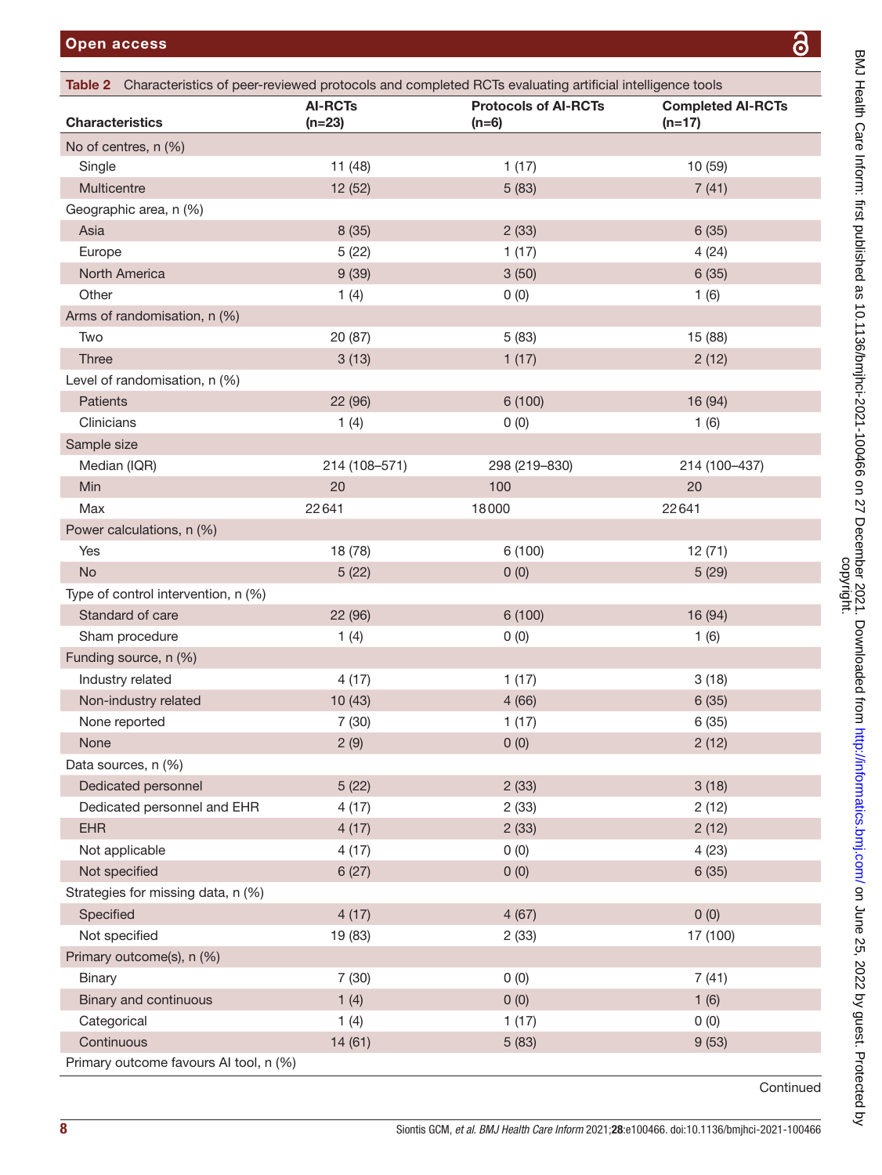<span id="page-7-0"></span>

| Table 2 Characteristics of peer-reviewed protocols and completed RCTs evaluating artificial intelligence tools |                            |                                        |                                      |
|----------------------------------------------------------------------------------------------------------------|----------------------------|----------------------------------------|--------------------------------------|
| <b>Characteristics</b>                                                                                         | <b>AI-RCTs</b><br>$(n=23)$ | <b>Protocols of AI-RCTs</b><br>$(n=6)$ | <b>Completed AI-RCTs</b><br>$(n=17)$ |
| No of centres, n (%)                                                                                           |                            |                                        |                                      |
| Single                                                                                                         | 11(48)                     | 1(17)                                  | 10 (59)                              |
| Multicentre                                                                                                    | 12(52)                     | 5(83)                                  | 7(41)                                |
| Geographic area, n (%)                                                                                         |                            |                                        |                                      |
| Asia                                                                                                           | 8(35)                      | 2(33)                                  | 6(35)                                |
| Europe                                                                                                         | 5(22)                      | 1(17)                                  | 4(24)                                |
| North America                                                                                                  | 9(39)                      | 3(50)                                  | 6(35)                                |
| Other                                                                                                          | 1(4)                       | 0(0)                                   | 1(6)                                 |
| Arms of randomisation, n (%)                                                                                   |                            |                                        |                                      |
| Two                                                                                                            | 20 (87)                    | 5(83)                                  | 15 (88)                              |
| <b>Three</b>                                                                                                   | 3(13)                      | 1(17)                                  | 2(12)                                |
| Level of randomisation, n (%)                                                                                  |                            |                                        |                                      |
| Patients                                                                                                       | 22 (96)                    | 6(100)                                 | 16 (94)                              |
| Clinicians                                                                                                     | 1(4)                       | 0(0)                                   | 1(6)                                 |
| Sample size                                                                                                    |                            |                                        |                                      |
| Median (IQR)                                                                                                   | 214 (108-571)              | 298 (219-830)                          | 214 (100-437)                        |
| Min                                                                                                            | 20                         | 100                                    | 20                                   |
| Max                                                                                                            | 22641                      | 18000                                  | 22641                                |
| Power calculations, n (%)                                                                                      |                            |                                        |                                      |
| Yes                                                                                                            | 18 (78)                    | 6 (100)                                | 12(71)                               |
| <b>No</b>                                                                                                      | 5(22)                      | 0(0)                                   | 5(29)                                |
| Type of control intervention, n (%)                                                                            |                            |                                        |                                      |
| Standard of care                                                                                               | 22 (96)                    | 6(100)                                 | 16 (94)                              |
| Sham procedure                                                                                                 | 1(4)                       | 0(0)                                   | 1(6)                                 |
| Funding source, n (%)                                                                                          |                            |                                        |                                      |
| Industry related                                                                                               | 4(17)                      | 1(17)                                  | 3(18)                                |
| Non-industry related                                                                                           | 10(43)                     | 4(66)                                  | 6(35)                                |
| None reported                                                                                                  | 7(30)                      | 1(17)                                  | 6(35)                                |
| None                                                                                                           | 2(9)                       | 0(0)                                   | 2(12)                                |
| Data sources, n (%)                                                                                            |                            |                                        |                                      |
| Dedicated personnel                                                                                            | 5(22)                      | 2(33)                                  | 3(18)                                |
| Dedicated personnel and EHR                                                                                    | 4(17)                      | 2(33)                                  | 2(12)                                |
| <b>EHR</b>                                                                                                     | 4(17)                      | 2(33)                                  | 2(12)                                |
| Not applicable                                                                                                 | 4(17)                      | 0(0)                                   | 4(23)                                |
| Not specified                                                                                                  | 6(27)                      | 0(0)                                   | 6(35)                                |
| Strategies for missing data, n (%)                                                                             |                            |                                        |                                      |
| Specified                                                                                                      | 4(17)                      | 4(67)                                  | 0(0)                                 |
| Not specified                                                                                                  | 19 (83)                    | 2(33)                                  | 17 (100)                             |
| Primary outcome(s), n (%)                                                                                      |                            |                                        |                                      |
| <b>Binary</b>                                                                                                  | 7(30)                      | 0(0)                                   | 7(41)                                |
| Binary and continuous                                                                                          | 1(4)                       | 0(0)                                   | 1(6)                                 |
| Categorical                                                                                                    | 1(4)                       | 1(17)                                  | 0(0)                                 |
| Continuous                                                                                                     | 14(61)                     | 5(83)                                  | 9(53)                                |
| Primary outcome favours AI tool, n (%)                                                                         |                            |                                        |                                      |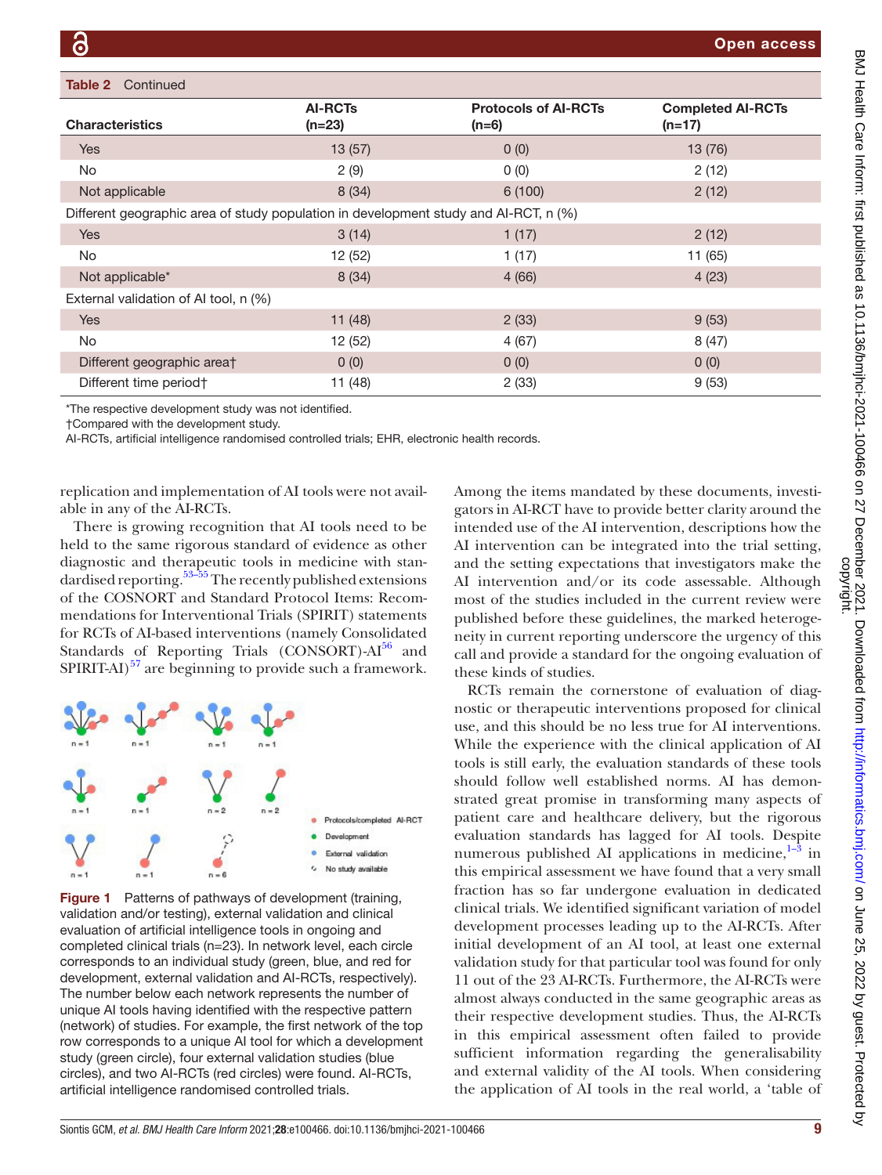#### Table 2 Continued

| <b>Characteristics</b>                                                               | <b>AI-RCTs</b><br>$(n=23)$ | <b>Protocols of AI-RCTs</b><br>$(n=6)$ | <b>Completed AI-RCTs</b><br>$(n=17)$ |
|--------------------------------------------------------------------------------------|----------------------------|----------------------------------------|--------------------------------------|
| <b>Yes</b>                                                                           | 13(57)                     | 0(0)                                   | 13(76)                               |
| <b>No</b>                                                                            | 2(9)                       | 0(0)                                   | 2(12)                                |
| Not applicable                                                                       | 8(34)                      | 6(100)                                 | 2(12)                                |
| Different geographic area of study population in development study and AI-RCT, n (%) |                            |                                        |                                      |
| <b>Yes</b>                                                                           | 3(14)                      | 1(17)                                  | 2(12)                                |
| <b>No</b>                                                                            | 12 (52)                    | 1(17)                                  | 11 (65)                              |
| Not applicable*                                                                      | 8(34)                      | 4(66)                                  | 4(23)                                |
| External validation of AI tool, n (%)                                                |                            |                                        |                                      |
| <b>Yes</b>                                                                           | 11(48)                     | 2(33)                                  | 9(53)                                |
| <b>No</b>                                                                            | 12 (52)                    | 4(67)                                  | 8(47)                                |
| Different geographic area†                                                           | 0(0)                       | 0(0)                                   | 0(0)                                 |
| Different time period†                                                               | 11 (48)                    | 2(33)                                  | 9(53)                                |

\*The respective development study was not identified.

†Compared with the development study.

AI-RCTs, artificial intelligence randomised controlled trials; EHR, electronic health records.

replication and implementation of AI tools were not available in any of the AI-RCTs.

There is growing recognition that AI tools need to be held to the same rigorous standard of evidence as other diagnostic and therapeutic tools in medicine with standardised reporting.<sup>53–55</sup> The recently published extensions of the COSNORT and Standard Protocol Items: Recommendations for Interventional Trials (SPIRIT) statements for RCTs of AI-based interventions (namely Consolidated Standards of Reporting Trials  $(CONSORT)$ -Al<sup>56</sup> and SPIRIT-AI)<sup>57</sup> are beginning to provide such a framework.



<span id="page-8-0"></span>Figure 1 Patterns of pathways of development (training, validation and/or testing), external validation and clinical evaluation of artificial intelligence tools in ongoing and completed clinical trials (n=23). In network level, each circle corresponds to an individual study (green, blue, and red for development, external validation and AI-RCTs, respectively). The number below each network represents the number of unique AI tools having identified with the respective pattern (network) of studies. For example, the first network of the top row corresponds to a unique AI tool for which a development study (green circle), four external validation studies (blue circles), and two AI-RCTs (red circles) were found. AI-RCTs, artificial intelligence randomised controlled trials.

Among the items mandated by these documents, investigators in AI-RCT have to provide better clarity around the intended use of the AI intervention, descriptions how the AI intervention can be integrated into the trial setting, and the setting expectations that investigators make the AI intervention and/or its code assessable. Although most of the studies included in the current review were published before these guidelines, the marked heterogeneity in current reporting underscore the urgency of this call and provide a standard for the ongoing evaluation of these kinds of studies.

RCTs remain the cornerstone of evaluation of diagnostic or therapeutic interventions proposed for clinical use, and this should be no less true for AI interventions. While the experience with the clinical application of AI tools is still early, the evaluation standards of these tools should follow well established norms. AI has demonstrated great promise in transforming many aspects of patient care and healthcare delivery, but the rigorous evaluation standards has lagged for AI tools. Despite numerous published AI applications in medicine, $1-3$  in this empirical assessment we have found that a very small fraction has so far undergone evaluation in dedicated clinical trials. We identified significant variation of model development processes leading up to the AI-RCTs. After initial development of an AI tool, at least one external validation study for that particular tool was found for only 11 out of the 23 AI-RCTs. Furthermore, the AI-RCTs were almost always conducted in the same geographic areas as their respective development studies. Thus, the AI-RCTs in this empirical assessment often failed to provide sufficient information regarding the generalisability and external validity of the AI tools. When considering the application of AI tools in the real world, a 'table of

Open access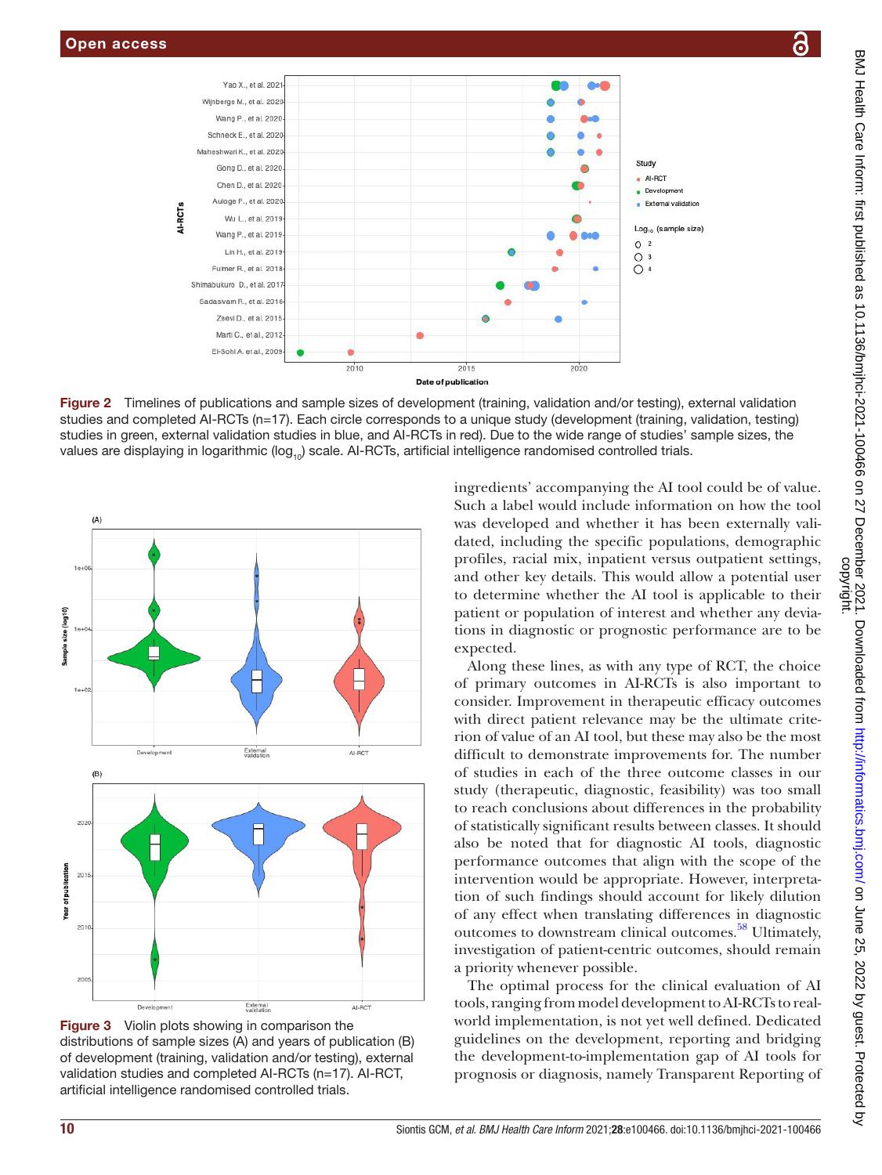

Figure 2 Timelines of publications and sample sizes of development (training, validation and/or testing), external validation studies and completed AI-RCTs (n=17). Each circle corresponds to a unique study (development (training, validation, testing) studies in green, external validation studies in blue, and AI-RCTs in red). Due to the wide range of studies' sample sizes, the values are displaying in logarithmic ( $log_{10}$ ) scale. AI-RCTs, artificial intelligence randomised controlled trials.



Figure 3 Violin plots showing in comparison the distributions of sample sizes (A) and years of publication (B) of development (training, validation and/or testing), external validation studies and completed AI-RCTs (n=17). AI-RCT, artificial intelligence randomised controlled trials.

<span id="page-9-0"></span>ingredients' accompanying the AI tool could be of value. Such a label would include information on how the tool was developed and whether it has been externally validated, including the specific populations, demographic profiles, racial mix, inpatient versus outpatient settings, and other key details. This would allow a potential user to determine whether the AI tool is applicable to their patient or population of interest and whether any deviations in diagnostic or prognostic performance are to be expected.

Along these lines, as with any type of RCT, the choice of primary outcomes in AI-RCTs is also important to consider. Improvement in therapeutic efficacy outcomes with direct patient relevance may be the ultimate criterion of value of an AI tool, but these may also be the most difficult to demonstrate improvements for. The number of studies in each of the three outcome classes in our study (therapeutic, diagnostic, feasibility) was too small to reach conclusions about differences in the probability of statistically significant results between classes. It should also be noted that for diagnostic AI tools, diagnostic performance outcomes that align with the scope of the intervention would be appropriate. However, interpretation of such findings should account for likely dilution of any effect when translating differences in diagnostic outcomes to downstream clinical outcomes.<sup>58</sup> Ultimately, investigation of patient-centric outcomes, should remain a priority whenever possible.

The optimal process for the clinical evaluation of AI tools, ranging from model development to AI-RCTs to realworld implementation, is not yet well defined. Dedicated guidelines on the development, reporting and bridging the development-to-implementation gap of AI tools for prognosis or diagnosis, namely Transparent Reporting of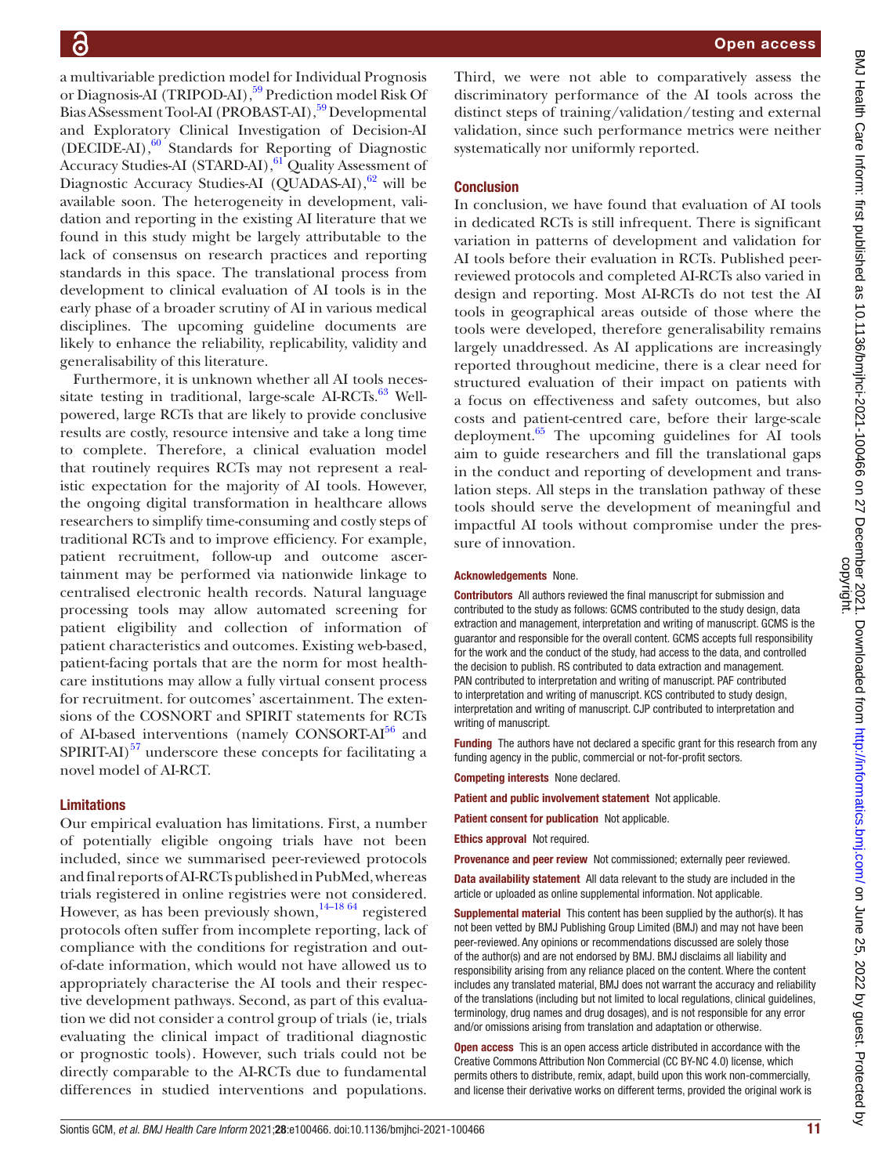Open access

Third, we were not able to comparatively assess the discriminatory performance of the AI tools across the distinct steps of training/validation/testing and external validation, since such performance metrics were neither systematically nor uniformly reported. **Conclusion** In conclusion, we have found that evaluation of AI tools in dedicated RCTs is still infrequent. There is significant variation in patterns of development and validation for AI tools before their evaluation in RCTs. Published peerreviewed protocols and completed AI-RCTs also varied in design and reporting. Most AI-RCTs do not test the AI tools in geographical areas outside of those where the tools were developed, therefore generalisability remains largely unaddressed. As AI applications are increasingly reported throughout medicine, there is a clear need for structured evaluation of their impact on patients with a focus on effectiveness and safety outcomes, but also costs and patient-centred care, before their large-scale deployment. $65$  The upcoming guidelines for AI tools aim to guide researchers and fill the translational gaps in the conduct and reporting of development and translation steps. All steps in the translation pathway of these tools should serve the development of meaningful and impactful AI tools without compromise under the pressure of innovation.

#### Acknowledgements None.

Contributors All authors reviewed the final manuscript for submission and contributed to the study as follows: GCMS contributed to the study design, data extraction and management, interpretation and writing of manuscript. GCMS is the guarantor and responsible for the overall content. GCMS accepts full responsibility for the work and the conduct of the study, had access to the data, and controlled the decision to publish. RS contributed to data extraction and management. PAN contributed to interpretation and writing of manuscript. PAF contributed to interpretation and writing of manuscript. KCS contributed to study design, interpretation and writing of manuscript. CJP contributed to interpretation and writing of manuscript.

Funding The authors have not declared a specific grant for this research from any funding agency in the public, commercial or not-for-profit sectors.

Competing interests None declared.

Patient and public involvement statement Not applicable.

Patient consent for publication Not applicable.

Ethics approval Not required.

Provenance and peer review Not commissioned; externally peer reviewed.

Data availability statement All data relevant to the study are included in the article or uploaded as online supplemental information. Not applicable.

**Supplemental material** This content has been supplied by the author(s). It has not been vetted by BMJ Publishing Group Limited (BMJ) and may not have been peer-reviewed. Any opinions or recommendations discussed are solely those of the author(s) and are not endorsed by BMJ. BMJ disclaims all liability and responsibility arising from any reliance placed on the content. Where the content includes any translated material, BMJ does not warrant the accuracy and reliability of the translations (including but not limited to local regulations, clinical guidelines, terminology, drug names and drug dosages), and is not responsible for any error and/or omissions arising from translation and adaptation or otherwise.

Open access This is an open access article distributed in accordance with the Creative Commons Attribution Non Commercial (CC BY-NC 4.0) license, which permits others to distribute, remix, adapt, build upon this work non-commercially, and license their derivative works on different terms, provided the original work is

a multivariable prediction model for Individual Prognosis or Diagnosis-AI (TRIPOD-AI),<sup>59</sup> Prediction model Risk Of Bias ASsessment Tool-AI (PROBAST-AI),<sup>59</sup> Developmental and Exploratory Clinical Investigation of Decision-AI (DECIDE-AI),<sup>60</sup> Standards for Reporting of Diagnostic Accuracy Studies-AI (STARD-AI),<sup>61</sup> Quality Assessment of Diagnostic Accuracy Studies-AI (QUADAS-AI), $62$  will be available soon. The heterogeneity in development, validation and reporting in the existing AI literature that we found in this study might be largely attributable to the lack of consensus on research practices and reporting standards in this space. The translational process from development to clinical evaluation of AI tools is in the early phase of a broader scrutiny of AI in various medical disciplines. The upcoming guideline documents are likely to enhance the reliability, replicability, validity and generalisability of this literature.

Furthermore, it is unknown whether all AI tools neces-sitate testing in traditional, large-scale AI-RCTs.<sup>[63](#page-12-9)</sup> Wellpowered, large RCTs that are likely to provide conclusive results are costly, resource intensive and take a long time to complete. Therefore, a clinical evaluation model that routinely requires RCTs may not represent a realistic expectation for the majority of AI tools. However, the ongoing digital transformation in healthcare allows researchers to simplify time-consuming and costly steps of traditional RCTs and to improve efficiency. For example, patient recruitment, follow-up and outcome ascertainment may be performed via nationwide linkage to centralised electronic health records. Natural language processing tools may allow automated screening for patient eligibility and collection of information of patient characteristics and outcomes. Existing web-based, patient-facing portals that are the norm for most healthcare institutions may allow a fully virtual consent process for recruitment. for outcomes' ascertainment. The extensions of the COSNORT and SPIRIT statements for RCTs of AI-based interventions (namely CONSORT-AI<sup>56</sup> and  $SPIRIT-AI$ <sup>57</sup> underscore these concepts for facilitating a novel model of AI-RCT.

#### Limitations

Our empirical evaluation has limitations. First, a number of potentially eligible ongoing trials have not been included, since we summarised peer-reviewed protocols and final reports of AI-RCTs published in PubMed, whereas trials registered in online registries were not considered. However, as has been previously shown,  $14-18/64$  registered protocols often suffer from incomplete reporting, lack of compliance with the conditions for registration and outof-date information, which would not have allowed us to appropriately characterise the AI tools and their respective development pathways. Second, as part of this evaluation we did not consider a control group of trials (ie, trials evaluating the clinical impact of traditional diagnostic or prognostic tools). However, such trials could not be directly comparable to the AI-RCTs due to fundamental differences in studied interventions and populations.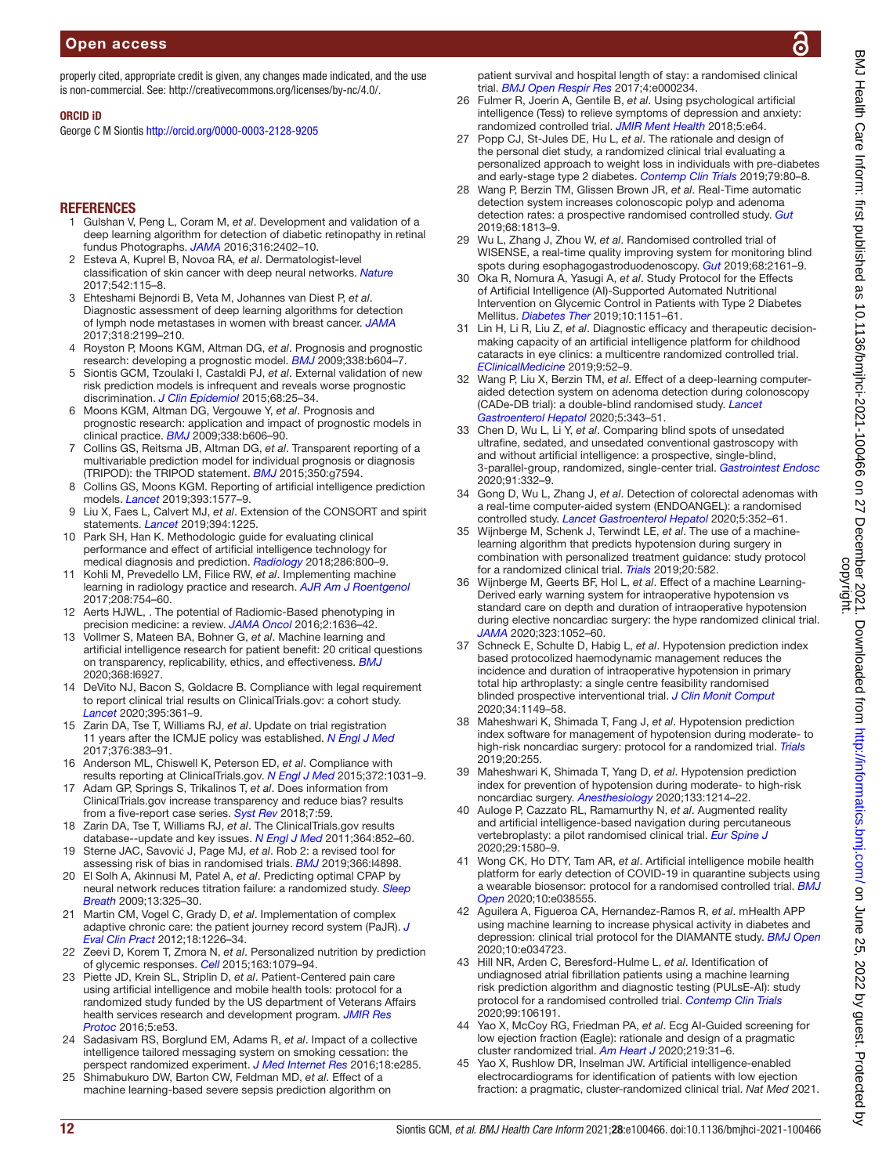properly cited, appropriate credit is given, any changes made indicated, and the use is non-commercial. See: [http://creativecommons.org/licenses/by-nc/4.0/.](http://creativecommons.org/licenses/by-nc/4.0/)

#### ORCID iD

George C M Siontis <http://orcid.org/0000-0003-2128-9205>

#### **REFERENCES**

- <span id="page-11-0"></span>1 Gulshan V, Peng L, Coram M, *et al*. Development and validation of a deep learning algorithm for detection of diabetic retinopathy in retinal fundus Photographs. *[JAMA](http://dx.doi.org/10.1001/jama.2016.17216)* 2016;316:2402–10.
- 2 Esteva A, Kuprel B, Novoa RA, *et al*. Dermatologist-level classification of skin cancer with deep neural networks. *[Nature](http://dx.doi.org/10.1038/nature21056)* 2017;542:115–8.
- 3 Ehteshami Bejnordi B, Veta M, Johannes van Diest P, *et al*. Diagnostic assessment of deep learning algorithms for detection of lymph node metastases in women with breast cancer. *[JAMA](http://dx.doi.org/10.1001/jama.2017.14585)* 2017;318:2199–210.
- <span id="page-11-1"></span>4 Royston P, Moons KGM, Altman DG, *et al*. Prognosis and prognostic research: developing a prognostic model. *[BMJ](http://dx.doi.org/10.1136/bmj.b604)* 2009;338:b604–7.
- 5 Siontis GCM, Tzoulaki I, Castaldi PJ, *et al*. External validation of new risk prediction models is infrequent and reveals worse prognostic discrimination. *[J Clin Epidemiol](http://dx.doi.org/10.1016/j.jclinepi.2014.09.007)* 2015;68:25–34.
- 6 Moons KGM, Altman DG, Vergouwe Y, *et al*. Prognosis and prognostic research: application and impact of prognostic models in clinical practice. *[BMJ](http://dx.doi.org/10.1136/bmj.b606)* 2009;338:b606–90.
- <span id="page-11-2"></span>7 Collins GS, Reitsma JB, Altman DG, *et al*. Transparent reporting of a multivariable prediction model for individual prognosis or diagnosis (TRIPOD): the TRIPOD statement. *[BMJ](http://dx.doi.org/10.1136/bmj.g7594)* 2015;350:g7594.
- 8 Collins GS, Moons KGM. Reporting of artificial intelligence prediction models. *[Lancet](http://dx.doi.org/10.1016/S0140-6736(19)30037-6)* 2019;393:1577–9.
- 9 Liu X, Faes L, Calvert MJ, *et al*. Extension of the CONSORT and spirit statements. *[Lancet](http://dx.doi.org/10.1016/S0140-6736(19)31819-7)* 2019;394:1225.
- 10 Park SH, Han K. Methodologic guide for evaluating clinical performance and effect of artificial intelligence technology for medical diagnosis and prediction. *[Radiology](http://dx.doi.org/10.1148/radiol.2017171920)* 2018;286:800–9.
- <span id="page-11-3"></span>11 Kohli M, Prevedello LM, Filice RW, *et al*. Implementing machine learning in radiology practice and research. *[AJR Am J Roentgenol](http://dx.doi.org/10.2214/AJR.16.17224)* 2017;208:754–60.
- 12 Aerts HJWL, . The potential of Radiomic-Based phenotyping in precision medicine: a review. *[JAMA Oncol](http://dx.doi.org/10.1001/jamaoncol.2016.2631)* 2016;2:1636–42.
- <span id="page-11-4"></span>13 Vollmer S, Mateen BA, Bohner G, *et al*. Machine learning and artificial intelligence research for patient benefit: 20 critical questions on transparency, replicability, ethics, and effectiveness. *[BMJ](http://dx.doi.org/10.1136/bmj.l6927)* 2020;368:l6927.
- <span id="page-11-5"></span>14 DeVito NJ, Bacon S, Goldacre B. Compliance with legal requirement to report clinical trial results on ClinicalTrials.gov: a cohort study. *[Lancet](http://dx.doi.org/10.1016/S0140-6736(19)33220-9)* 2020;395:361–9.
- 15 Zarin DA, Tse T, Williams RJ, *et al*. Update on trial registration 11 years after the ICMJE policy was established. *[N Engl J Med](http://dx.doi.org/10.1056/NEJMsr1601330)* 2017;376:383–91.
- 16 Anderson ML, Chiswell K, Peterson ED, *et al*. Compliance with results reporting at ClinicalTrials.gov. *[N Engl J Med](http://dx.doi.org/10.1056/NEJMsa1409364)* 2015;372:1031–9.
- 17 Adam GP, Springs S, Trikalinos T, *et al*. Does information from ClinicalTrials.gov increase transparency and reduce bias? results from a five-report case series. *[Syst Rev](http://dx.doi.org/10.1186/s13643-018-0726-5)* 2018;7:59.
- 18 Zarin DA, Tse T, Williams RJ, *et al*. The ClinicalTrials.gov results database--update and key issues. *[N Engl J Med](http://dx.doi.org/10.1056/NEJMsa1012065)* 2011;364:852–60.
- <span id="page-11-6"></span>19 Sterne JAC, Savović J, Page MJ, *et al*. Rob 2: a revised tool for assessing risk of bias in randomised trials. *[BMJ](http://dx.doi.org/10.1136/bmj.l4898)* 2019;366:l4898.
- <span id="page-11-7"></span>20 El Solh A, Akinnusi M, Patel A, *et al*. Predicting optimal CPAP by neural network reduces titration failure: a randomized study. *[Sleep](http://dx.doi.org/10.1007/s11325-009-0247-5)  [Breath](http://dx.doi.org/10.1007/s11325-009-0247-5)* 2009;13:325–30.
- <span id="page-11-12"></span>21 Martin CM, Vogel C, Grady D, *et al*. Implementation of complex adaptive chronic care: the patient journey record system (PaJR). *[J](http://dx.doi.org/10.1111/j.1365-2753.2012.01880.x)  [Eval Clin Pract](http://dx.doi.org/10.1111/j.1365-2753.2012.01880.x)* 2012;18:1226–34.
- <span id="page-11-13"></span>22 Zeevi D, Korem T, Zmora N, *et al*. Personalized nutrition by prediction of glycemic responses. *[Cell](http://dx.doi.org/10.1016/j.cell.2015.11.001)* 2015;163:1079–94.
- <span id="page-11-15"></span>23 Piette JD, Krein SL, Striplin D, *et al*. Patient-Centered pain care using artificial intelligence and mobile health tools: protocol for a randomized study funded by the US department of Veterans Affairs health services research and development program. *[JMIR Res](http://dx.doi.org/10.2196/resprot.4995)  [Protoc](http://dx.doi.org/10.2196/resprot.4995)* 2016;5:e53.
- <span id="page-11-16"></span>24 Sadasivam RS, Borglund EM, Adams R, *et al*. Impact of a collective intelligence tailored messaging system on smoking cessation: the perspect randomized experiment. *[J Med Internet Res](http://dx.doi.org/10.2196/jmir.6465)* 2016;18:e285.
- <span id="page-11-11"></span>25 Shimabukuro DW, Barton CW, Feldman MD, *et al*. Effect of a machine learning-based severe sepsis prediction algorithm on

patient survival and hospital length of stay: a randomised clinical trial. *[BMJ Open Respir Res](http://dx.doi.org/10.1136/bmjresp-2017-000234)* 2017;4:e000234.

- <span id="page-11-17"></span>26 Fulmer R, Joerin A, Gentile B, *et al*. Using psychological artificial intelligence (Tess) to relieve symptoms of depression and anxiety: randomized controlled trial. *[JMIR Ment Health](http://dx.doi.org/10.2196/mental.9782)* 2018;5:e64.
- <span id="page-11-14"></span>27 Popp CJ, St-Jules DE, Hu L, *et al*. The rationale and design of the personal diet study, a randomized clinical trial evaluating a personalized approach to weight loss in individuals with pre-diabetes and early-stage type 2 diabetes. *[Contemp Clin Trials](http://dx.doi.org/10.1016/j.cct.2019.03.001)* 2019;79:80–8.
- <span id="page-11-18"></span>28 Wang P, Berzin TM, Glissen Brown JR, *et al*. Real-Time automatic detection system increases colonoscopic polyp and adenoma detection rates: a prospective randomised controlled study. *[Gut](http://dx.doi.org/10.1136/gutjnl-2018-317500)* 2019;68:1813–9.
- <span id="page-11-19"></span>29 Wu L, Zhang J, Zhou W, *et al*. Randomised controlled trial of WISENSE, a real-time quality improving system for monitoring blind spots during esophagogastroduodenoscopy. *[Gut](http://dx.doi.org/10.1136/gutjnl-2018-317366)* 2019;68:2161–9.
- <span id="page-11-22"></span>30 Oka R, Nomura A, Yasugi A, *et al*. Study Protocol for the Effects of Artificial Intelligence (AI)-Supported Automated Nutritional Intervention on Glycemic Control in Patients with Type 2 Diabetes Mellitus. *[Diabetes Ther](http://dx.doi.org/10.1007/s13300-019-0595-5)* 2019;10:1151–61.
- <span id="page-11-23"></span>31 Lin H, Li R, Liu Z, *et al*. Diagnostic efficacy and therapeutic decisionmaking capacity of an artificial intelligence platform for childhood cataracts in eye clinics: a multicentre randomized controlled trial. *[EClinicalMedicine](http://dx.doi.org/10.1016/j.eclinm.2019.03.001)* 2019;9:52–9.
- 32 Wang P, Liu X, Berzin TM, *et al*. Effect of a deep-learning computeraided detection system on adenoma detection during colonoscopy (CADe-DB trial): a double-blind randomised study. *[Lancet](http://dx.doi.org/10.1016/S2468-1253(19)30411-X)  [Gastroenterol Hepatol](http://dx.doi.org/10.1016/S2468-1253(19)30411-X)* 2020;5:343–51.
- <span id="page-11-20"></span>33 Chen D, Wu L, Li Y, *et al*. Comparing blind spots of unsedated ultrafine, sedated, and unsedated conventional gastroscopy with and without artificial intelligence: a prospective, single-blind, 3-parallel-group, randomized, single-center trial. *[Gastrointest Endosc](http://dx.doi.org/10.1016/j.gie.2019.09.016)* 2020;91:332–9.
- <span id="page-11-21"></span>34 Gong D, Wu L, Zhang J, *et al*. Detection of colorectal adenomas with a real-time computer-aided system (ENDOANGEL): a randomised controlled study. *[Lancet Gastroenterol Hepatol](http://dx.doi.org/10.1016/S2468-1253(19)30413-3)* 2020;5:352–61.
- <span id="page-11-9"></span>35 Wijnberge M, Schenk J, Terwindt LE, *et al*. The use of a machinelearning algorithm that predicts hypotension during surgery in combination with personalized treatment guidance: study protocol for a randomized clinical trial. *[Trials](http://dx.doi.org/10.1186/s13063-019-3637-4)* 2019;20:582.
- <span id="page-11-8"></span>36 Wijnberge M, Geerts BF, Hol L, *et al*. Effect of a machine Learning-Derived early warning system for intraoperative hypotension vs standard care on depth and duration of intraoperative hypotension during elective noncardiac surgery: the hype randomized clinical trial. *[JAMA](http://dx.doi.org/10.1001/jama.2020.0592)* 2020;323:1052–60.
- <span id="page-11-10"></span>37 Schneck E, Schulte D, Habig L, *et al*. Hypotension prediction index based protocolized haemodynamic management reduces the incidence and duration of intraoperative hypotension in primary total hip arthroplasty: a single centre feasibility randomised blinded prospective interventional trial. *[J Clin Monit Comput](http://dx.doi.org/10.1007/s10877-019-00433-6)* 2020;34:1149–58.
- <span id="page-11-24"></span>38 Maheshwari K, Shimada T, Fang J, *et al*. Hypotension prediction index software for management of hypotension during moderate- to high-risk noncardiac surgery: protocol for a randomized trial. *[Trials](http://dx.doi.org/10.1186/s13063-019-3329-0)* 2019;20:255.
- 39 Maheshwari K, Shimada T, Yang D, *et al*. Hypotension prediction index for prevention of hypotension during moderate- to high-risk noncardiac surgery. *[Anesthesiology](http://dx.doi.org/10.1097/ALN.0000000000003557)* 2020;133:1214–22.
- <span id="page-11-25"></span>40 Auloge P, Cazzato RL, Ramamurthy N, *et al*. Augmented reality and artificial intelligence-based navigation during percutaneous vertebroplasty: a pilot randomised clinical trial. *[Eur Spine J](http://dx.doi.org/10.1007/s00586-019-06054-6)* 2020;29:1580–9.
- <span id="page-11-26"></span>41 Wong CK, Ho DTY, Tam AR, *et al*. Artificial intelligence mobile health platform for early detection of COVID-19 in quarantine subjects using a wearable biosensor: protocol for a randomised controlled trial. *[BMJ](http://dx.doi.org/10.1136/bmjopen-2020-038555)  [Open](http://dx.doi.org/10.1136/bmjopen-2020-038555)* 2020;10:e038555.
- <span id="page-11-27"></span>42 Aguilera A, Figueroa CA, Hernandez-Ramos R, *et al*. mHealth APP using machine learning to increase physical activity in diabetes and depression: clinical trial protocol for the DIAMANTE study. *[BMJ Open](http://dx.doi.org/10.1136/bmjopen-2019-034723)* 2020;10:e034723.
- <span id="page-11-28"></span>43 Hill NR, Arden C, Beresford-Hulme L, *et al*. Identification of undiagnosed atrial fibrillation patients using a machine learning risk prediction algorithm and diagnostic testing (PULsE-AI): study protocol for a randomised controlled trial. *[Contemp Clin Trials](http://dx.doi.org/10.1016/j.cct.2020.106191)* 2020;99:106191.
- <span id="page-11-29"></span>Yao X, McCoy RG, Friedman PA, et al. Ecg Al-Guided screening for low ejection fraction (Eagle): rationale and design of a pragmatic cluster randomized trial. *[Am Heart J](http://dx.doi.org/10.1016/j.ahj.2019.10.007)* 2020;219:31–6.
- 45 Yao X, Rushlow DR, Inselman JW. Artificial intelligence-enabled electrocardiograms for identification of patients with low ejection fraction: a pragmatic, cluster-randomized clinical trial. *Nat Med* 2021.